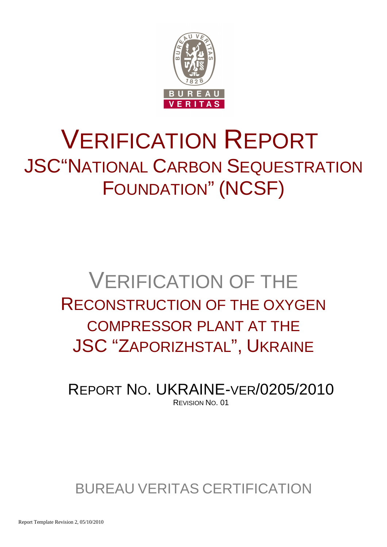

# VERIFICATION REPORT JSC"NATIONAL CARBON SEQUESTRATION FOUNDATION" (NCSF)

## VERIFICATION OF THE RECONSTRUCTION OF THE OXYGEN COMPRESSOR PLANT AT THE JSC "ZAPORIZHSTAL", UKRAINE

REPORT NO. UKRAINE-VER/0205/2010 REVISION NO. 01

BUREAU VERITAS CERTIFICATION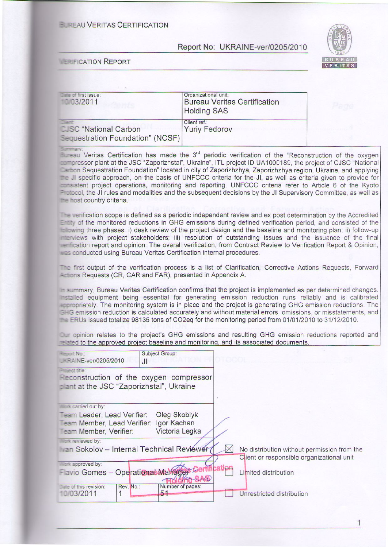#### **ELREAU VERITAS CERTIFICATION**

#### Report No: UKRAINE-ver/0205/2010



#### **ER FICATION REPORT**

| $\Box$ and of first issue:<br>103/2011                                           | Organizational unit:<br><b>Bureau Veritas Certification</b><br><b>Holding SAS</b> |
|----------------------------------------------------------------------------------|-----------------------------------------------------------------------------------|
| <b>SAMP</b><br><b>CUSC</b> "National Carbon"<br>Sequestration Foundation" (NCSF) | Client ref.:<br><b>Yuriy Fedorov</b>                                              |

Eureau Veritas Certification has made the 3<sup>rd</sup> periodic verification of the "Reconstruction of the oxygen admoressor plant at the JSC "Zaporizhstal", Ukraine", ITL project ID UA1000189, the project of CJSC "National Carbon Sequestration Foundation" located in city of Zaporizhzhya, Zaporizhzhya region, Ukraine, and applying the JI specific approach, on the basis of UNFCCC criteria for the JI, as well as criteria given to provide for accession project operations, monitoring and reporting. UNFCCC criteria refer to Article 6 of the Kyoto Protocol, the JI rules and modalities and the subsequent decisions by the JI Supervisory Committee, as well as the host country criteria.

The verification scope is defined as a periodic independent review and ex post determination by the Accredited Entry of the monitored reductions in GHG emissions during defined verification period, and consisted of the to lowing three phases: i) desk review of the project design and the baseline and monitoring plan; ii) follow-up menviews with project stakeholders; iii) resolution of outstanding issues and the issuance of the final enfication report and opinion. The overall verification, from Contract Review to Verification Report & Opinion, was conducted using Bureau Veritas Certification internal procedures.

The first output of the verification process is a list of Clarification, Corrective Actions Requests, Forward Actions Requests (CR, CAR and FAR), presented in Appendix A.

summary, Bureau Veritas Certification confirms that the project is implemented as per determined changes. restalled equipment being essential for generating emission reduction runs reliably and is calibrated accropriately. The monitoring system is in place and the project is generating GHG emission reductions. The E-G emission reduction is calculated accurately and without material errors, omissions, or misstatements, and The ERUs issued totalize 98135 tons of CO2eq for the monitoring period from 01/01/2010 to 31/12/2010.

Dur opinion relates to the project's GHG emissions and resulting GHG emission reductions reported and and to the approved project baseline and monitoring, and its associated documents.

| <b>Report No.:</b><br><b>EAINE-ver/0205/2010</b>                                     | <b>Subject Group:</b><br>JI                   |                                                                                                          |
|--------------------------------------------------------------------------------------|-----------------------------------------------|----------------------------------------------------------------------------------------------------------|
| Project title:<br>plant at the JSC "Zaporizhstal", Ukraine                           | Reconstruction of the oxygen compressor       |                                                                                                          |
| <b>Wark carried out by:</b>                                                          |                                               |                                                                                                          |
| Team Leader, Lead Verifier:<br>Team Member, Lead Verifier:<br>Team Member, Verifier: | Oleg Skoblyk<br>Igor Kachan<br>Victoria Legka |                                                                                                          |
| <b>Wark reviewed by:</b>                                                             |                                               |                                                                                                          |
|                                                                                      | an Sokolov - Internal Technical Reviewer      | $\mathbb{X}$<br>No distribution without permission from the<br>Client or responsible organizational unit |
| <b>Mark approved by:</b><br>Favio Gomes - Operational Manager                        |                                               | Limited distribution                                                                                     |
| Date of this revision:<br>Rev. No.:<br>10/03/2011                                    | Number of pages:<br>51                        | Unrestricted distribution                                                                                |

 $\mathbf{1}$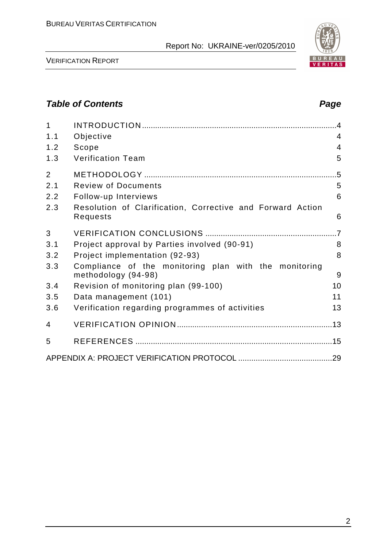

VERIFICATION REPORT

## **Table of Contents Page 2018**

| 1              |                                                                              |                 |
|----------------|------------------------------------------------------------------------------|-----------------|
| 1.1            | Objective                                                                    | $\overline{4}$  |
| 1.2            | Scope                                                                        | $\overline{4}$  |
| 1.3            | <b>Verification Team</b>                                                     | 5               |
| $\overline{2}$ |                                                                              | $.5\,$          |
| 2.1            | <b>Review of Documents</b>                                                   | 5               |
| 2.2            | Follow-up Interviews                                                         | 6               |
| 2.3            | Resolution of Clarification, Corrective and Forward Action<br>Requests       | 6               |
| 3              |                                                                              | $\overline{.7}$ |
| 3.1            | Project approval by Parties involved (90-91)                                 | 8               |
| 3.2            | Project implementation (92-93)                                               | 8               |
| 3.3            | Compliance of the monitoring plan with the monitoring<br>methodology (94-98) | 9               |
| 3.4            | Revision of monitoring plan (99-100)                                         | 10              |
| 3.5            | Data management (101)                                                        | 11              |
| 3.6            | Verification regarding programmes of activities                              | 13              |
| 4              |                                                                              |                 |
| 5              |                                                                              |                 |
|                |                                                                              |                 |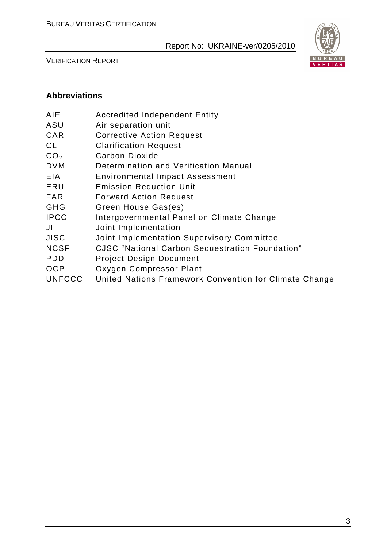

VERIFICATION REPORT

## **Abbreviations**

- AIE Accredited Independent Entity
- ASU Air separation unit
- CAR Corrective Action Request
- CL Clarification Request
- CO<sub>2</sub> Carbon Dioxide
- DVM Determination and Verification Manual
- EIA Environmental Impact Assessment
- ERU Emission Reduction Unit
- FAR Forward Action Request
- GHG Green House Gas(es)
- IPCC Intergovernmental Panel on Climate Change
- JI Joint Implementation
- JISC Joint Implementation Supervisory Committee
- NCSF CJSC "National Carbon Sequestration Foundation"
- PDD Project Design Document
- OCP Oxygen Compressor Plant
- UNFCCC United Nations Framework Convention for Climate Change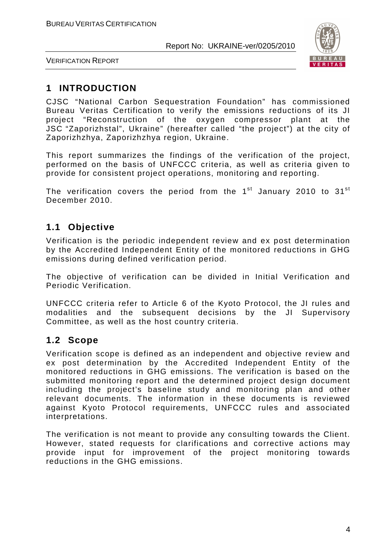

VERIFICATION REPORT

## **1 INTRODUCTION**

CJSC "National Carbon Sequestration Foundation" has commissioned Bureau Veritas Certification to verify the emissions reductions of its JI project "Reconstruction of the oxygen compressor plant at the JSC "Zaporizhstal", Ukraine" (hereafter called "the project") at the city of Zaporizhzhya, Zaporizhzhya region, Ukraine.

This report summarizes the findings of the verification of the project, performed on the basis of UNFCCC criteria, as well as criteria given to provide for consistent project operations, monitoring and reporting.

The verification covers the period from the  $1<sup>st</sup>$  January 2010 to 31 $<sup>st</sup>$ </sup> December 2010.

## **1.1 Objective**

Verification is the periodic independent review and ex post determination by the Accredited Independent Entity of the monitored reductions in GHG emissions during defined verification period.

The objective of verification can be divided in Initial Verification and Periodic Verification.

UNFCCC criteria refer to Article 6 of the Kyoto Protocol, the JI rules and modalities and the subsequent decisions by the JI Supervisory Committee, as well as the host country criteria.

## **1.2 Scope**

Verification scope is defined as an independent and objective review and ex post determination by the Accredited Independent Entity of the monitored reductions in GHG emissions. The verification is based on the submitted monitoring report and the determined project design document including the project's baseline study and monitoring plan and other relevant documents. The information in these documents is reviewed against Kyoto Protocol requirements, UNFCCC rules and associated interpretations.

The verification is not meant to provide any consulting towards the Client. However, stated requests for clarifications and corrective actions may provide input for improvement of the project monitoring towards reductions in the GHG emissions.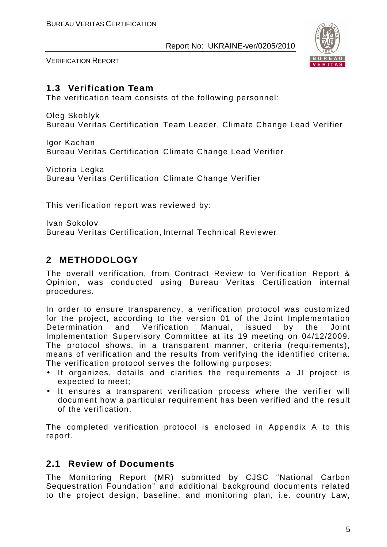

VERIFICATION REPORT

## **1.3 Verification Team**

The verification team consists of the following personnel:

Oleg Skoblyk

Bureau Veritas Certification Team Leader, Climate Change Lead Verifier

Igor Kachan Bureau Veritas Certification Climate Change Lead Verifier

Victoria Legka Bureau Veritas Certification Climate Change Verifier

This verification report was reviewed by:

Ivan Sokolov Bureau Veritas Certification, Internal Technical Reviewer

## **2 METHODOLOGY**

The overall verification, from Contract Review to Verification Report & Opinion, was conducted using Bureau Veritas Certification internal procedures.

In order to ensure transparency, a verification protocol was customized for the project, according to the version 01 of the Joint Implementation Determination and Verification Manual, issued by the Joint Implementation Supervisory Committee at its 19 meeting on 04/12/2009. The protocol shows, in a transparent manner, criteria (requirements), means of verification and the results from verifying the identified criteria. The verification protocol serves the following purposes:

- It organizes, details and clarifies the requirements a JI project is expected to meet;
- It ensures a transparent verification process where the verifier will document how a particular requirement has been verified and the result of the verification.

The completed verification protocol is enclosed in Appendix A to this report.

## **2.1 Review of Documents**

The Monitoring Report (MR) submitted by CJSC "National Carbon Sequestration Foundation" and additional background documents related to the project design, baseline, and monitoring plan, i.e. country Law,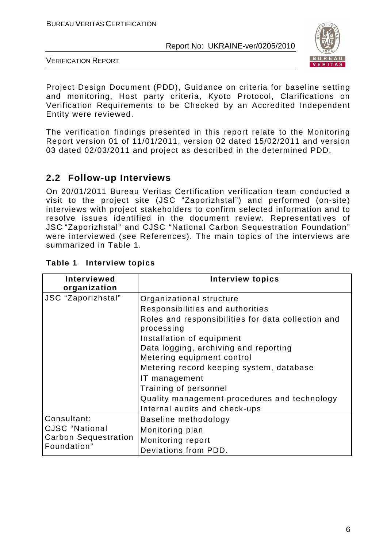

VERIFICATION REPORT

Project Design Document (PDD), Guidance on criteria for baseline setting and monitoring, Host party criteria, Kyoto Protocol, Clarifications on Verification Requirements to be Checked by an Accredited Independent Entity were reviewed.

The verification findings presented in this report relate to the Monitoring Report version 01 of 11/01/2011, version 02 dated 15/02/2011 and version 03 dated 02/03/2011 and project as described in the determined PDD.

## **2.2 Follow-up Interviews**

On 20/01/2011 Bureau Veritas Certification verification team conducted a visit to the project site (JSC "Zaporizhstal") and performed (on-site) interviews with project stakeholders to confirm selected information and to resolve issues identified in the document review. Representatives of JSC "Zaporizhstal" and CJSC "National Carbon Sequestration Foundation" were interviewed (see References). The main topics of the interviews are summarized in Table 1.

| <b>Interviewed</b><br>organization                                                 | <b>Interview topics</b>                                                                                                                                                                                                                                                                                                                                                                                     |
|------------------------------------------------------------------------------------|-------------------------------------------------------------------------------------------------------------------------------------------------------------------------------------------------------------------------------------------------------------------------------------------------------------------------------------------------------------------------------------------------------------|
| 'JSC "Zaporizhstal"                                                                | Organizational structure<br>Responsibilities and authorities<br>Roles and responsibilities for data collection and<br>processing<br>Installation of equipment<br>Data logging, archiving and reporting<br>Metering equipment control<br>Metering record keeping system, database<br>IT management<br>Training of personnel<br>Quality management procedures and technology<br>Internal audits and check-ups |
| Consultant:<br><b>CJSC</b> "National<br><b>Carbon Sequestration</b><br>Foundation" | Baseline methodology<br>Monitoring plan<br>Monitoring report<br>Deviations from PDD.                                                                                                                                                                                                                                                                                                                        |

#### **Table 1 Interview topics**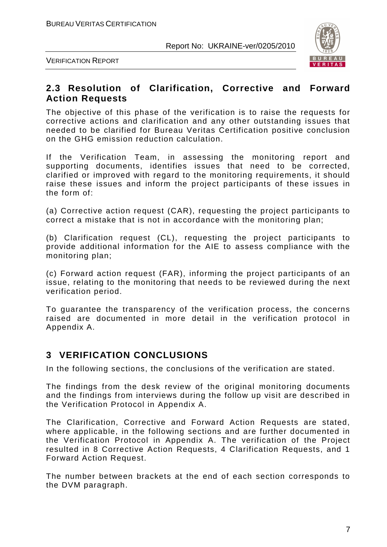

VERIFICATION REPORT

## **2.3 Resolution of Clarification, Corrective and Forward Action Requests**

The objective of this phase of the verification is to raise the requests for corrective actions and clarification and any other outstanding issues that needed to be clarified for Bureau Veritas Certification positive conclusion on the GHG emission reduction calculation.

If the Verification Team, in assessing the monitoring report and supporting documents, identifies issues that need to be corrected, clarified or improved with regard to the monitoring requirements, it should raise these issues and inform the project participants of these issues in the form of:

(a) Corrective action request (CAR), requesting the project participants to correct a mistake that is not in accordance with the monitoring plan;

(b) Clarification request (CL), requesting the project participants to provide additional information for the AIE to assess compliance with the monitoring plan;

(c) Forward action request (FAR), informing the project participants of an issue, relating to the monitoring that needs to be reviewed during the next verification period.

To guarantee the transparency of the verification process, the concerns raised are documented in more detail in the verification protocol in Appendix A.

## **3 VERIFICATION CONCLUSIONS**

In the following sections, the conclusions of the verification are stated.

The findings from the desk review of the original monitoring documents and the findings from interviews during the follow up visit are described in the Verification Protocol in Appendix A.

The Clarification, Corrective and Forward Action Requests are stated, where applicable, in the following sections and are further documented in the Verification Protocol in Appendix A. The verification of the Project resulted in 8 Corrective Action Requests, 4 Clarification Requests, and 1 Forward Action Request.

The number between brackets at the end of each section corresponds to the DVM paragraph.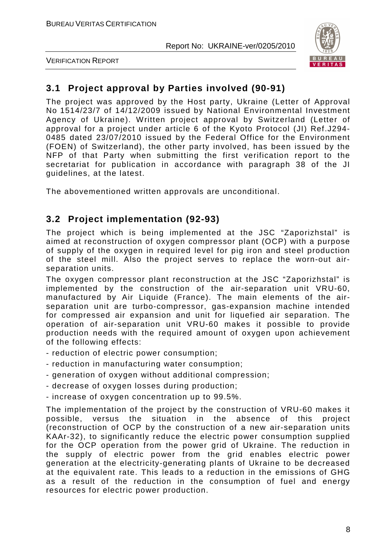

VERIFICATION REPORT

## **3.1 Project approval by Parties involved (90-91)**

The project was approved by the Host party, Ukraine (Letter of Approval No 1514/23/7 of 14/12/2009 issued by National Environmental Investment Agency of Ukraine). Written project approval by Switzerland (Letter of approval for a project under article 6 of the Kyoto Protocol (JI) Ref.J294- 0485 dated 23/07/2010 issued by the Federal Office for the Environment (FOEN) of Switzerland), the other party involved, has been issued by the NFP of that Party when submitting the first verification report to the secretariat for publication in accordance with paragraph 38 of the JI guidelines, at the latest.

The abovementioned written approvals are unconditional.

## **3.2 Project implementation (92-93)**

The project which is being implemented at the JSC "Zaporizhstal" is aimed at reconstruction of oxygen compressor plant (OCP) with a purpose of supply of the oxygen in required level for pig iron and steel production of the steel mill. Also the project serves to replace the worn-out airseparation units.

The oxygen compressor plant reconstruction at the JSC "Zaporizhstal" is implemented by the construction of the air-separation unit VRU-60, manufactured by Air Liquide (France). The main elements of the airseparation unit are turbo-compressor, gas-expansion machine intended for compressed air expansion and unit for liquefied air separation. The operation of air-separation unit VRU-60 makes it possible to provide production needs with the required amount of oxygen upon achievement of the following effects:

- reduction of electric power consumption;
- reduction in manufacturing water consumption;
- generation of oxygen without additional compression;
- decrease of oxygen losses during production;
- increase of oxygen concentration up to 99.5%.

The implementation of the project by the construction of VRU-60 makes it possible, versus the situation in the absence of this project (reconstruction of OCP by the construction of a new air-separation units KAAr-32), to significantly reduce the electric power consumption supplied for the OCP operation from the power grid of Ukraine. The reduction in the supply of electric power from the grid enables electric power generation at the electricity-generating plants of Ukraine to be decreased at the equivalent rate. This leads to a reduction in the emissions of GHG as a result of the reduction in the consumption of fuel and energy resources for electric power production.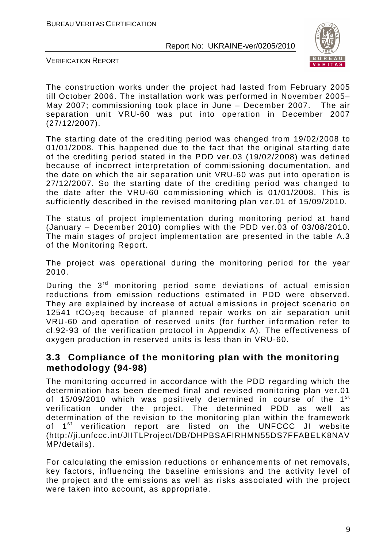

VERIFICATION REPORT

The construction works under the project had lasted from February 2005 till October 2006. The installation work was performed in November 2005– May 2007; commissioning took place in June – December 2007. The air separation unit VRU-60 was put into operation in December 2007 (27/12/2007).

The starting date of the crediting period was changed from 19/02/2008 to 01/01/2008. This happened due to the fact that the original starting date of the crediting period stated in the PDD ver.03 (19/02/2008) was defined because of incorrect interpretation of commissioning documentation, and the date on which the air separation unit VRU-60 was put into operation is 27/12/2007. So the starting date of the crediting period was changed to the date after the VRU-60 commissioning which is 01/01/2008. This is sufficiently described in the revised monitoring plan ver.01 of 15/09/2010.

The status of project implementation during monitoring period at hand (January – December 2010) complies with the PDD ver.03 of 03/08/2010. The main stages of project implementation are presented in the table A.3 of the Monitoring Report.

The project was operational during the monitoring period for the year 2010.

During the 3rd monitoring period some deviations of actual emission reductions from emission reductions estimated in PDD were observed. They are explained by increase of actual emissions in project scenario on 12541  $tCO<sub>2</sub>$ eq because of planned repair works on air separation unit VRU-60 and operation of reserved units (for further information refer to cl.92-93 of the verification protocol in Appendix A). The effectiveness of oxygen production in reserved units is less than in VRU-60.

## **3.3 Compliance of the monitoring plan with the monitoring methodology (94-98)**

The monitoring occurred in accordance with the PDD regarding which the determination has been deemed final and revised monitoring plan ver.01 of 15/09/2010 which was positively determined in course of the 1<sup>st</sup> verification under the project. The determined PDD as well as determination of the revision to the monitoring plan within the framework of 1<sup>st</sup> verification report are listed on the UNFCCC JI website (http://ji.unfccc.int/JIITLProject/DB/DHPBSAFIRHMN55DS7FFABELK8NAV MP/details).

For calculating the emission reductions or enhancements of net removals, key factors, influencing the baseline emissions and the activity level of the project and the emissions as well as risks associated with the project were taken into account, as appropriate.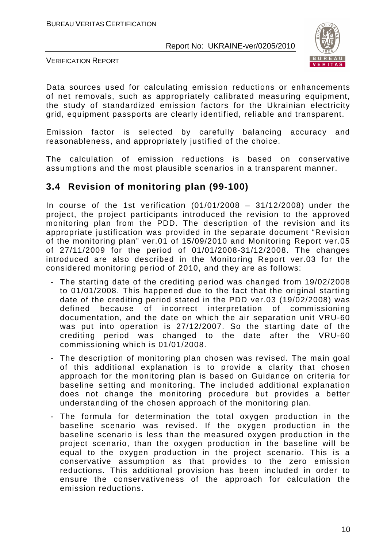

VERIFICATION REPORT

Data sources used for calculating emission reductions or enhancements of net removals, such as appropriately calibrated measuring equipment, the study of standardized emission factors for the Ukrainian electricity grid, equipment passports are clearly identified, reliable and transparent.

Emission factor is selected by carefully balancing accuracy and reasonableness, and appropriately justified of the choice.

The calculation of emission reductions is based on conservative assumptions and the most plausible scenarios in a transparent manner.

## **3.4 Revision of monitoring plan (99-100)**

In course of the 1st verification  $(01/01/2008 - 31/12/2008)$  under the project, the project participants introduced the revision to the approved monitoring plan from the PDD. The description of the revision and its appropriate justification was provided in the separate document "Revision of the monitoring plan" ver.01 of 15/09/2010 and Monitoring Report ver.05 of 27/11/2009 for the period of 01/01/2008-31/12/2008. The changes introduced are also described in the Monitoring Report ver.03 for the considered monitoring period of 2010, and they are as follows:

- The starting date of the crediting period was changed from 19/02/2008 to 01/01/2008. This happened due to the fact that the original starting date of the crediting period stated in the PDD ver.03 (19/02/2008) was defined because of incorrect interpretation of commissioning documentation, and the date on which the air separation unit VRU-60 was put into operation is 27/12/2007. So the starting date of the crediting period was changed to the date after the VRU-60 commissioning which is 01/01/2008.
- The description of monitoring plan chosen was revised. The main goal of this additional explanation is to provide a clarity that chosen approach for the monitoring plan is based on Guidance on criteria for baseline setting and monitoring. The included additional explanation does not change the monitoring procedure but provides a better understanding of the chosen approach of the monitoring plan.
- The formula for determination the total oxygen production in the baseline scenario was revised. If the oxygen production in the baseline scenario is less than the measured oxygen production in the project scenario, than the oxygen production in the baseline will be equal to the oxygen production in the project scenario. This is a conservative assumption as that provides to the zero emission reductions. This additional provision has been included in order to ensure the conservativeness of the approach for calculation the emission reductions.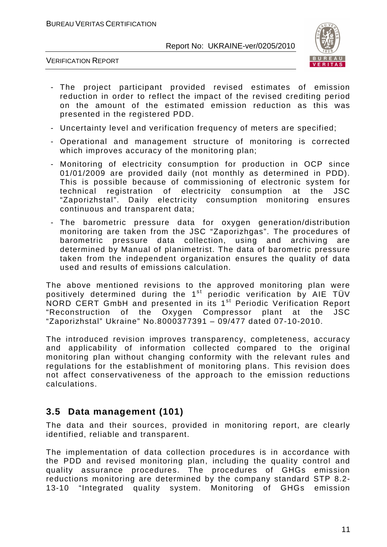

VERIFICATION REPORT

- The project participant provided revised estimates of emission reduction in order to reflect the impact of the revised crediting period on the amount of the estimated emission reduction as this was presented in the registered PDD.
- Uncertainty level and verification frequency of meters are specified;
- Operational and management structure of monitoring is corrected which improves accuracy of the monitoring plan;
- Monitoring of electricity consumption for production in OCP since 01/01/2009 are provided daily (not monthly as determined in PDD). This is possible because of commissioning of electronic system for technical registration of electricity consumption at the JSC "Zaporizhstal". Daily electricity consumption monitoring ensures continuous and transparent data;
- The barometric pressure data for oxygen generation/distribution monitoring are taken from the JSC "Zaporizhgas". The procedures of barometric pressure data collection, using and archiving are determined by Manual of planimetrist. The data of barometric pressure taken from the independent organization ensures the quality of data used and results of emissions calculation.

The above mentioned revisions to the approved monitoring plan were positively determined during the 1<sup>st</sup> periodic verification by AIE TÜV NORD CERT GmbH and presented in its 1<sup>st</sup> Periodic Verification Report "Reconstruction of the Oxygen Compressor plant at the JSC "Zaporizhstal" Ukraine" No.8000377391 – 09/477 dated 07-10-2010.

The introduced revision improves transparency, completeness, accuracy and applicability of information collected compared to the original monitoring plan without changing conformity with the relevant rules and regulations for the establishment of monitoring plans. This revision does not affect conservativeness of the approach to the emission reductions calculations.

## **3.5 Data management (101)**

The data and their sources, provided in monitoring report, are clearly identified, reliable and transparent.

The implementation of data collection procedures is in accordance with the PDD and revised monitoring plan, including the quality control and quality assurance procedures. The procedures of GHGs emission reductions monitoring are determined by the company standard STP 8.2- 13-10 "Integrated quality system. Monitoring of GHGs emission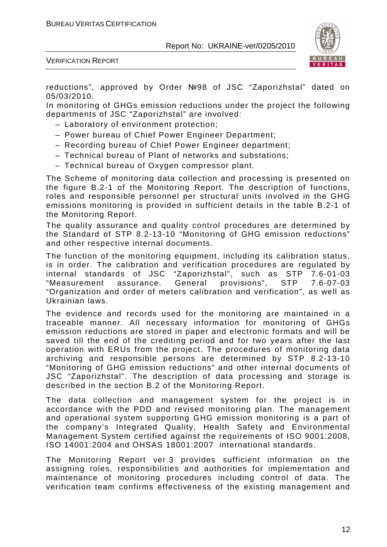

VERIFICATION REPORT

reductions", approved by Order №98 of JSC "Zaporizhstal" dated on 05/03/2010.

In monitoring of GHGs emission reductions under the project the following departments of JSC "Zaporizhstal" are involved:

- Laboratory of environment protection;
- Power bureau of Chief Power Engineer Department;
- Recording bureau of Chief Power Engineer department;
- Technical bureau of Plant of networks and substations;
- Technical bureau of Oxygen compressor plant.

The Scheme of monitoring data collection and processing is presented on the figure B.2-1 of the Monitoring Report. The description of functions, roles and responsible personnel per structural units involved in the GHG emissions monitoring is provided in sufficient details in the table B.2-1 of the Monitoring Report.

The quality assurance and quality control procedures are determined by the Standard of STP 8.2-13-10 "Monitoring of GHG emission reductions" and other respective internal documents.

The function of the monitoring equipment, including its calibration status, is in order. The calibration and verification procedures are regulated by internal standards of JSC "Zaporizhstal", such as STP 7.6-01-03 "Measurement assurance. General provisions", STP 7.6-07-03 "Organization and order of meters calibration and verification", as well as Ukrainian laws.

The evidence and records used for the monitoring are maintained in a traceable manner. All necessary information for monitoring of GHGs emission reductions are stored in paper and electronic formats and will be saved till the end of the crediting period and for two years after the last operation with ERUs from the project. The procedures of monitoring data archiving and responsible persons are determined by STP 8.2-13-10 "Monitoring of GHG emission reductions" and other internal documents of JSC "Zaporizhstal". The description of data processing and storage is described in the section B.2 of the Monitoring Report.

The data collection and management system for the project is in accordance with the PDD and revised monitoring plan. The management and operational system supporting GHG emission monitoring is a part of the company's Integrated Quality, Health Safety and Environmental Management System certified against the requirements of ISO 9001:2008, ISO 14001:2004 and OHSAS 18001:2007 international standards.

The Monitoring Report ver.3 provides sufficient information on the assigning roles, responsibilities and authorities for implementation and maintenance of monitoring procedures including control of data. The verification team confirms effectiveness of the existing management and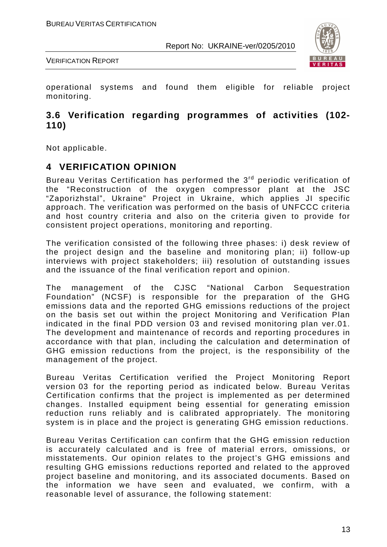

VERIFICATION REPORT

operational systems and found them eligible for reliable project monitoring.

## **3.6 Verification regarding programmes of activities (102- 110)**

Not applicable.

## **4 VERIFICATION OPINION**

Bureau Veritas Certification has performed the 3rd periodic verification of the "Reconstruction of the oxygen compressor plant at the JSC "Zaporizhstal", Ukraine" Project in Ukraine, which applies JI specific approach. The verification was performed on the basis of UNFCCC criteria and host country criteria and also on the criteria given to provide for consistent project operations, monitoring and reporting.

The verification consisted of the following three phases: i) desk review of the project design and the baseline and monitoring plan; ii) follow-up interviews with project stakeholders; iii) resolution of outstanding issues and the issuance of the final verification report and opinion.

The management of the CJSC "National Carbon Sequestration Foundation" (NCSF) is responsible for the preparation of the GHG emissions data and the reported GHG emissions reductions of the project on the basis set out within the project Monitoring and Verification Plan indicated in the final PDD version 03 and revised monitoring plan ver.01. The development and maintenance of records and reporting procedures in accordance with that plan, including the calculation and determination of GHG emission reductions from the project, is the responsibility of the management of the project.

Bureau Veritas Certification verified the Project Monitoring Report version 03 for the reporting period as indicated below. Bureau Veritas Certification confirms that the project is implemented as per determined changes. Installed equipment being essential for generating emission reduction runs reliably and is calibrated appropriately. The monitoring system is in place and the project is generating GHG emission reductions.

Bureau Veritas Certification can confirm that the GHG emission reduction is accurately calculated and is free of material errors, omissions, or misstatements. Our opinion relates to the project's GHG emissions and resulting GHG emissions reductions reported and related to the approved project baseline and monitoring, and its associated documents. Based on the information we have seen and evaluated, we confirm, with a reasonable level of assurance, the following statement: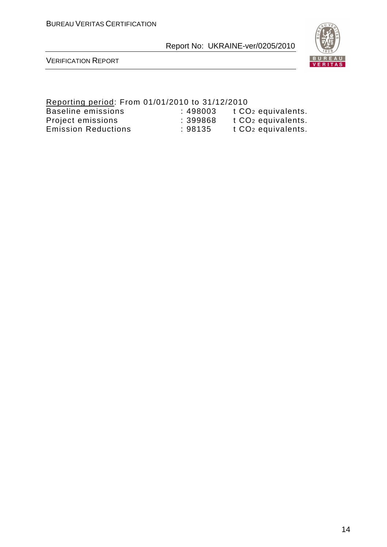

VERIFICATION REPORT

#### Reporting period: From 01/01/2010 to 31/12/2010 Baseline emissions the state of the sector of the Baseline emissions to the 198003 the CO2 equivalents. Project emissions : 399868 t CO<sub>2</sub> equivalents. Emission Reductions : 98135 t CO2 equivalents.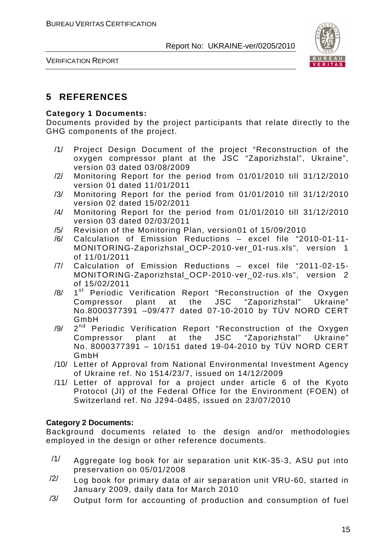

VERIFICATION REPORT

## **5 REFERENCES**

#### **Category 1 Documents:**

Documents provided by the project participants that relate directly to the GHG components of the project.

- /1/ Project Design Document of the project "Reconstruction of the oxygen compressor plant at the JSC "Zaporizhstal", Ukraine", version 03 dated 03/08/2009
- /2/ Monitoring Report for the period from 01/01/2010 till 31/12/2010 version 01 dated 11/01/2011
- /3/ Monitoring Report for the period from 01/01/2010 till 31/12/2010 version 02 dated 15/02/2011
- /4/ Monitoring Report for the period from 01/01/2010 till 31/12/2010 version 03 dated 02/03/2011
- /5/ Revision of the Monitoring Plan, version01 of 15/09/2010
- /6/ Calculation of Emission Reductions excel file "2010-01-11- MONITORING-Zaporizhstal OCP-2010-ver 01-rus.xls", version 1 of 11/01/2011
- /7/ Calculation of Emission Reductions excel file "2011-02-15- MONITORING-Zaporizhstal OCP-2010-ver 02-rus.xls", version 2 of 15/02/2011
- /8/ 1 1<sup>st</sup> Periodic Verification Report "Reconstruction of the Oxygen Compressor plant at the JSC "Zaporizhstal" Ukraine" No.8000377391 –09/477 dated 07-10-2010 by TÜV NORD CERT GmbH
- /9/ 2 2<sup>nd</sup> Periodic Verification Report "Reconstruction of the Oxygen Compressor plant at the JSC "Zaporizhstal" Ukraine" No. 8000377391 – 10/151 dated 19-04-2010 by TÜV NORD CERT GmbH
- /10/ Letter of Approval from National Environmental Investment Agency of Ukraine ref. No 1514/23/7, issued on 14/12/2009
- /11/ Letter of approval for a project under article 6 of the Kyoto Protocol (JI) of the Federal Office for the Environment (FOEN) of Switzerland ref. No J294-0485, issued on 23/07/2010

#### **Category 2 Documents:**

Background documents related to the design and/or methodologies employed in the design or other reference documents.

- /1/ Aggregate log book for air separation unit KtK-35-3, ASU put into preservation on 05/01/2008
- $\frac{12}{1}$  Log book for primary data of air separation unit VRU-60, started in January 2009, daily data for March 2010
- $/3/$  Output form for accounting of production and consumption of fuel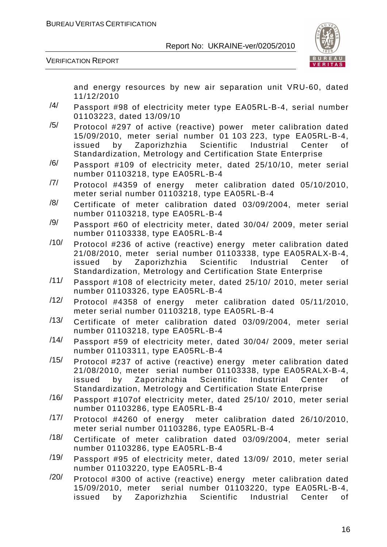

VERIFICATION REPORT

and energy resources by new air separation unit VRU-60, dated 11/12/2010

- /4/ Passport #98 of electricity meter type EA05RL-B-4, serial number 01103223, dated 13/09/10
- $/5/$  Protocol #297 of active (reactive) power meter calibration dated 15/09/2010, meter serial number 01 103 223, type EA05RL-B-4, issued by Zaporizhzhia Scientific Industrial Center of Standardization, Metrology and Certification State Enterprise
- $/6/$  Passport #109 of electricity meter, dated 25/10/10, meter serial number 01103218, type EA05RL-B-4
- /7/ Protocol #4359 of energy meter calibration dated 05/10/2010, meter serial number 01103218, type EA05RL-B-4
- $/8/$  Certificate of meter calibration dated 03/09/2004, meter serial number 01103218, type EA05RL-B-4
- $/9/$  Passport #60 of electricity meter, dated 30/04/ 2009, meter serial number 01103338, type EA05RL-B-4
- /10/ Protocol #236 of active (reactive) energy meter calibration dated 21/08/2010, meter serial number 01103338, type EA05RALX-B-4, issued by Zaporizhzhia Scientific Industrial Center of Standardization, Metrology and Certification State Enterprise
- /11/ Passport #108 of electricity meter, dated 25/10/ 2010, meter serial number 01103326, type EA05RL-B-4
- /12/ Protocol #4358 of energy meter calibration dated 05/11/2010, meter serial number 01103218, type EA05RL-B-4
- /13/ Certificate of meter calibration dated 03/09/2004, meter serial number 01103218, type EA05RL-B-4
- /14/ Passport #59 of electricity meter, dated 30/04/ 2009, meter serial number 01103311, type EA05RL-B-4
- /15/ Protocol #237 of active (reactive) energy meter calibration dated 21/08/2010, meter serial number 01103338, type EA05RALX-B-4, issued by Zaporizhzhia Scientific Industrial Center of Standardization, Metrology and Certification State Enterprise
- /16/ Passport #107of electricity meter, dated 25/10/ 2010, meter serial number 01103286, type EA05RL-B-4
- /17/ Protocol #4260 of energy meter calibration dated 26/10/2010, meter serial number 01103286, type EA05RL-B-4
- /18/ Certificate of meter calibration dated 03/09/2004, meter serial number 01103286, type EA05RL-B-4
- /19/ Passport #95 of electricity meter, dated 13/09/ 2010, meter serial number 01103220, type EA05RL-B-4
- $\frac{120}{120}$  Protocol #300 of active (reactive) energy meter calibration dated 15/09/2010, meter serial number 01103220, type EA05RL-B-4, issued by Zaporizhzhia Scientific Industrial Center of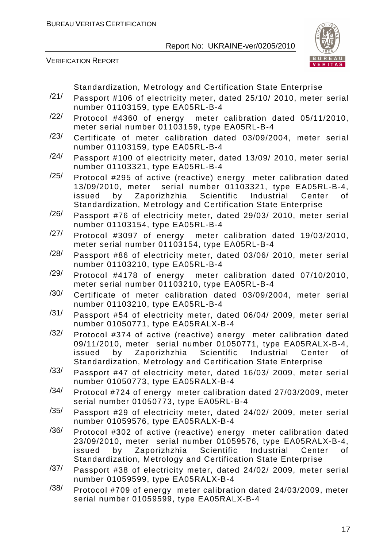



Standardization, Metrology and Certification State Enterprise

- /21/ Passport #106 of electricity meter, dated 25/10/ 2010, meter serial number 01103159, type EA05RL-B-4
- /22/ Protocol #4360 of energy meter calibration dated 05/11/2010, meter serial number 01103159, type EA05RL-B-4
- /23/ Certificate of meter calibration dated 03/09/2004, meter serial number 01103159, type EA05RL-B-4
- /24/ Passport #100 of electricity meter, dated 13/09/ 2010, meter serial number 01103321, type EA05RL-B-4
- /25/ Protocol #295 of active (reactive) energy meter calibration dated 13/09/2010, meter serial number 01103321, type EA05RL-B-4, issued by Zaporizhzhia Scientific Industrial Center of Standardization, Metrology and Certification State Enterprise
- /26/ Passport #76 of electricity meter, dated 29/03/ 2010, meter serial number 01103154, type EA05RL-B-4
- /27/ Protocol #3097 of energy meter calibration dated 19/03/2010, meter serial number 01103154, type EA05RL-B-4
- /28/ Passport #86 of electricity meter, dated 03/06/ 2010, meter serial number 01103210, type EA05RL-B-4
- $\frac{129}{100}$  Protocol #4178 of energy meter calibration dated 07/10/2010, meter serial number 01103210, type EA05RL-B-4
- /30/ Certificate of meter calibration dated 03/09/2004, meter serial number 01103210, type EA05RL-B-4
- /31/ Passport #54 of electricity meter, dated 06/04/ 2009, meter serial number 01050771, type EA05RALX-B-4
- $\frac{1}{32}$  Protocol #374 of active (reactive) energy meter calibration dated 09/11/2010, meter serial number 01050771, type EA05RALX-B-4, issued by Zaporizhzhia Scientific Industrial Center of Standardization, Metrology and Certification State Enterprise
- /33/ Passport #47 of electricity meter, dated 16/03/ 2009, meter serial number 01050773, type EA05RALX-B-4
- /34/ Protocol #724 of energy meter calibration dated 27/03/2009, meter serial number 01050773, type EA05RL-B-4
- /35/ Passport #29 of electricity meter, dated 24/02/ 2009, meter serial number 01059576, type EA05RALX-B-4
- /36/ Protocol #302 of active (reactive) energy meter calibration dated 23/09/2010, meter serial number 01059576, type EA05RALX-B-4, issued by Zaporizhzhia Scientific Industrial Center of Standardization, Metrology and Certification State Enterprise
- /37/ Passport #38 of electricity meter, dated 24/02/ 2009, meter serial number 01059599, type EA05RALX-B-4
- /38/ Protocol #709 of energy meter calibration dated 24/03/2009, meter serial number 01059599, type EA05RALX-B-4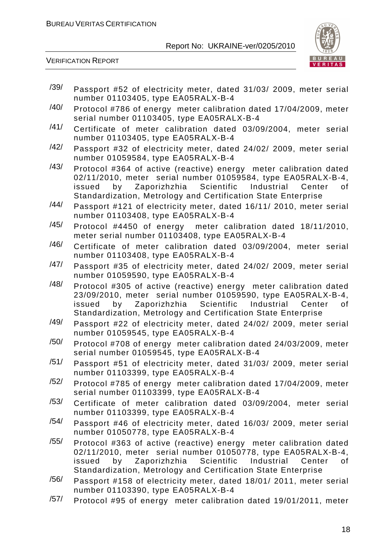

- /39/ Passport #52 of electricity meter, dated 31/03/ 2009, meter serial number 01103405, type EA05RALX-B-4
- /40/ Protocol #786 of energy meter calibration dated 17/04/2009, meter serial number 01103405, type EA05RALX-B-4
- /41/ Certificate of meter calibration dated 03/09/2004, meter serial number 01103405, type EA05RALX-B-4
- /42/ Passport #32 of electricity meter, dated 24/02/ 2009, meter serial number 01059584, type EA05RALX-B-4
- /43/ Protocol #364 of active (reactive) energy meter calibration dated 02/11/2010, meter serial number 01059584, type EA05RALX-B-4, issued by Zaporizhzhia Scientific Industrial Center of Standardization, Metrology and Certification State Enterprise
- /44/ Passport #121 of electricity meter, dated 16/11/ 2010, meter serial number 01103408, type EA05RALX-B-4
- /45/ Protocol #4450 of energy meter calibration dated 18/11/2010, meter serial number 01103408, type EA05RALX-B-4
- /46/ Certificate of meter calibration dated 03/09/2004, meter serial number 01103408, type EA05RALX-B-4
- /47/ Passport #35 of electricity meter, dated 24/02/ 2009, meter serial number 01059590, type EA05RALX-B-4
- /48/ Protocol #305 of active (reactive) energy meter calibration dated 23/09/2010, meter serial number 01059590, type EA05RALX-B-4, issued by Zaporizhzhia Scientific Industrial Center of Standardization, Metrology and Certification State Enterprise
- /49/ Passport #22 of electricity meter, dated 24/02/ 2009, meter serial number 01059545, type EA05RALX-B-4
- /50/ Protocol #708 of energy meter calibration dated 24/03/2009, meter serial number 01059545, type EA05RALX-B-4
- /51/ Passport #51 of electricity meter, dated 31/03/ 2009, meter serial number 01103399, type EA05RALX-B-4
- $/52/$  Protocol #785 of energy meter calibration dated 17/04/2009, meter serial number 01103399, type EA05RALX-B-4
- /53/ Certificate of meter calibration dated 03/09/2004, meter serial number 01103399, type EA05RALX-B-4
- /54/ Passport #46 of electricity meter, dated 16/03/ 2009, meter serial number 01050778, type EA05RALX-B-4
- /55/ Protocol #363 of active (reactive) energy meter calibration dated 02/11/2010, meter serial number 01050778, type EA05RALX-B-4, issued by Zaporizhzhia Scientific Industrial Center of Standardization, Metrology and Certification State Enterprise
- /56/ Passport #158 of electricity meter, dated 18/01/ 2011, meter serial number 01103390, type EA05RALX-B-4
- /57/ Protocol #95 of energy meter calibration dated 19/01/2011, meter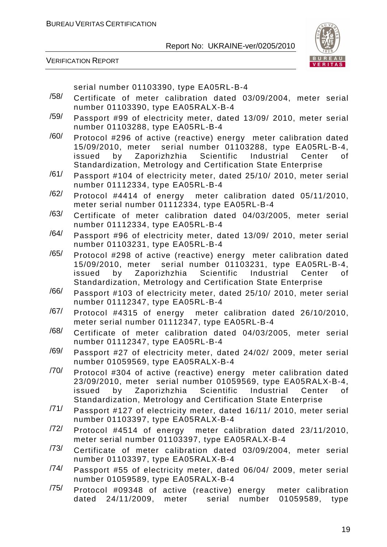

VERIFICATION REPORT

serial number 01103390, type EA05RL-B-4

- /58/ Certificate of meter calibration dated 03/09/2004, meter serial number 01103390, type EA05RALX-B-4
- /59/ Passport #99 of electricity meter, dated 13/09/ 2010, meter serial number 01103288, type EA05RL-B-4
- $/60/$  Protocol #296 of active (reactive) energy meter calibration dated 15/09/2010, meter serial number 01103288, type EA05RL-B-4, issued by Zaporizhzhia Scientific Industrial Center of Standardization, Metrology and Certification State Enterprise
- /61/ Passport #104 of electricity meter, dated 25/10/ 2010, meter serial number 01112334, type EA05RL-B-4
- /62/ Protocol #4414 of energy meter calibration dated 05/11/2010, meter serial number 01112334, type EA05RL-B-4
- /63/ Certificate of meter calibration dated 04/03/2005, meter serial number 01112334, type EA05RL-B-4
- /64/ Passport #96 of electricity meter, dated 13/09/ 2010, meter serial number 01103231, type EA05RL-B-4
- /65/ Protocol #298 of active (reactive) energy meter calibration dated 15/09/2010, meter serial number 01103231, type EA05RL-B-4, issued by Zaporizhzhia Scientific Industrial Center of Standardization, Metrology and Certification State Enterprise
- /66/ Passport #103 of electricity meter, dated 25/10/ 2010, meter serial number 01112347, type EA05RL-B-4
- /67/ Protocol #4315 of energy meter calibration dated 26/10/2010, meter serial number 01112347, type EA05RL-B-4
- /68/ Certificate of meter calibration dated 04/03/2005, meter serial number 01112347, type EA05RL-B-4
- /69/ Passport #27 of electricity meter, dated 24/02/ 2009, meter serial number 01059569, type EA05RALX-B-4
- $/70/$  Protocol #304 of active (reactive) energy meter calibration dated 23/09/2010, meter serial number 01059569, type EA05RALX-B-4, issued by Zaporizhzhia Scientific Industrial Center of Standardization, Metrology and Certification State Enterprise
- /71/ Passport #127 of electricity meter, dated 16/11/ 2010, meter serial number 01103397, type EA05RALX-B-4
- /72/ Protocol #4514 of energy meter calibration dated 23/11/2010, meter serial number 01103397, type EA05RALX-B-4
- /73/ Certificate of meter calibration dated 03/09/2004, meter serial number 01103397, type EA05RALX-B-4
- /74/ Passport #55 of electricity meter, dated 06/04/ 2009, meter serial number 01059589, type EA05RALX-B-4
- /75/ Protocol #09348 of active (reactive) energy meter calibration dated 24/11/2009, meter serial number 01059589, type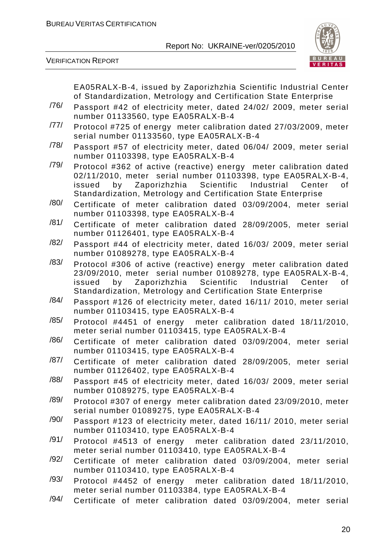

|      | EA05RALX-B-4, issued by Zaporizhzhia Scientific Industrial Center<br>of Standardization, Metrology and Certification State Enterprise                                                                                                                              |
|------|--------------------------------------------------------------------------------------------------------------------------------------------------------------------------------------------------------------------------------------------------------------------|
| /76/ | Passport #42 of electricity meter, dated 24/02/ 2009, meter serial<br>number 01133560, type EA05RALX-B-4                                                                                                                                                           |
| /77/ | Protocol #725 of energy meter calibration dated 27/03/2009, meter<br>serial number 01133560, type EA05RALX-B-4                                                                                                                                                     |
| /78/ | Passport #57 of electricity meter, dated 06/04/ 2009, meter serial<br>number 01103398, type EA05RALX-B-4                                                                                                                                                           |
| /79/ | Protocol #362 of active (reactive) energy meter calibration dated<br>02/11/2010, meter serial number 01103398, type EA05RALX-B-4,<br>by Zaporizhzhia Scientific Industrial Center<br>issued<br>0f<br>Standardization, Metrology and Certification State Enterprise |
| /80/ | Certificate of meter calibration dated 03/09/2004, meter serial<br>number 01103398, type EA05RALX-B-4                                                                                                                                                              |
| /81/ | Certificate of meter calibration dated 28/09/2005, meter serial<br>number 01126401, type EA05RALX-B-4                                                                                                                                                              |
| /82/ | Passport #44 of electricity meter, dated 16/03/ 2009, meter serial<br>number 01089278, type EA05RALX-B-4                                                                                                                                                           |
| /83/ | Protocol #306 of active (reactive) energy meter calibration dated<br>23/09/2010, meter serial number 01089278, type EA05RALX-B-4,<br>by Zaporizhzhia Scientific Industrial Center<br>0f<br>issued<br>Standardization, Metrology and Certification State Enterprise |
| /84/ | Passport #126 of electricity meter, dated 16/11/ 2010, meter serial<br>number 01103415, type EA05RALX-B-4                                                                                                                                                          |
| /85/ | Protocol #4451 of energy meter calibration dated 18/11/2010,<br>meter serial number 01103415, type EA05RALX-B-4                                                                                                                                                    |
| /86/ | Certificate of meter calibration dated 03/09/2004, meter serial<br>number 01103415, type EA05RALX-B-4                                                                                                                                                              |
| /87/ | Certificate of meter calibration dated 28/09/2005, meter serial<br>number 01126402, type EA05RALX-B-4                                                                                                                                                              |
| /88/ | Passport #45 of electricity meter, dated 16/03/ 2009, meter serial<br>number 01089275, type EA05RALX-B-4                                                                                                                                                           |
| /89/ | Protocol #307 of energy meter calibration dated 23/09/2010, meter<br>serial number 01089275, type EA05RALX-B-4                                                                                                                                                     |
| /90/ | Passport #123 of electricity meter, dated 16/11/ 2010, meter serial<br>number 01103410, type EA05RALX-B-4                                                                                                                                                          |
| /91/ | Protocol #4513 of energy meter calibration dated 23/11/2010,<br>meter serial number 01103410, type EA05RALX-B-4                                                                                                                                                    |
| /92/ | Certificate of meter calibration dated 03/09/2004, meter serial<br>number 01103410, type EA05RALX-B-4                                                                                                                                                              |
| /93/ | Protocol #4452 of energy meter calibration dated 18/11/2010,<br>meter serial number 01103384, type EA05RALX-B-4                                                                                                                                                    |
| /94/ | Certificate of meter calibration dated 03/09/2004, meter serial                                                                                                                                                                                                    |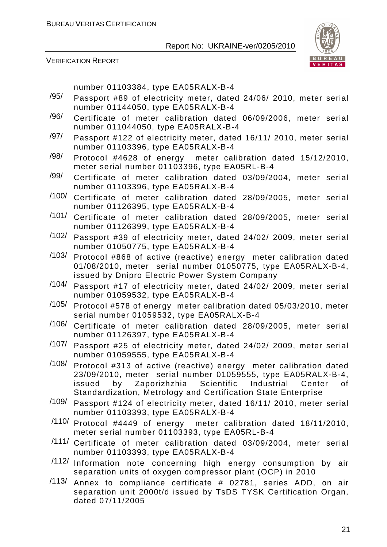

VERIFICATION REPORT

number 01103384, type EA05RALX-B-4

- /95/ Passport #89 of electricity meter, dated 24/06/ 2010, meter serial number 01144050, type EA05RALX-B-4
- /96/ Certificate of meter calibration dated 06/09/2006, meter serial number 011044050, type EA05RALX-B-4
- /97/ Passport #122 of electricity meter, dated 16/11/ 2010, meter serial number 01103396, type EA05RALX-B-4
- /98/ Protocol #4628 of energy meter calibration dated 15/12/2010, meter serial number 01103396, type EA05RL-B-4
- /99/ Certificate of meter calibration dated 03/09/2004, meter serial number 01103396, type EA05RALX-B-4
- /100/ Certificate of meter calibration dated 28/09/2005, meter serial number 01126395, type EA05RALX-B-4
- /101/ Certificate of meter calibration dated 28/09/2005, meter serial number 01126399, type EA05RALX-B-4
- /102/ Passport #39 of electricity meter, dated 24/02/ 2009, meter serial number 01050775, type EA05RALX-B-4
- /103/ Protocol #868 of active (reactive) energy meter calibration dated 01/08/2010, meter serial number 01050775, type EA05RALX-B-4, issued by Dnipro Electric Power System Company
- /104/ Passport #17 of electricity meter, dated 24/02/ 2009, meter serial number 01059532, type EA05RALX-B-4
- /105/ Protocol #578 of energy meter calibration dated 05/03/2010, meter serial number 01059532, type EA05RALX-B-4
- /106/ Certificate of meter calibration dated 28/09/2005, meter serial number 01126397, type EA05RALX-B-4
- /107/ Passport #25 of electricity meter, dated 24/02/ 2009, meter serial number 01059555, type EA05RALX-B-4
- /108/ Protocol #313 of active (reactive) energy meter calibration dated 23/09/2010, meter serial number 01059555, type EA05RALX-B-4, issued by Zaporizhzhia Scientific Industrial Center of Standardization, Metrology and Certification State Enterprise
- /109/ Passport #124 of electricity meter, dated 16/11/ 2010, meter serial number 01103393, type EA05RALX-B-4
- /110/ Protocol #4449 of energy meter calibration dated 18/11/2010, meter serial number 01103393, type EA05RL-B-4
- /111/ Certificate of meter calibration dated 03/09/2004, meter serial number 01103393, type EA05RALX-B-4
- /112/ Information note concerning high energy consumption by air separation units of oxygen compressor plant (OCP) in 2010
- /113/ Annex to compliance certificate # 02781, series ADD, on air separation unit 2000t/d issued by TsDS TYSK Certification Organ, dated 07/11/2005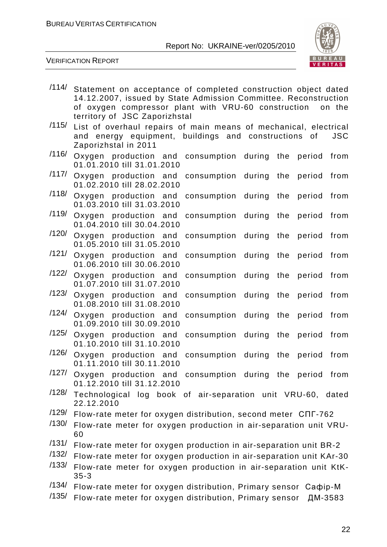

|       | /114/ Statement on acceptance of completed construction object dated<br>14.12.2007, issued by State Admission Committee. Reconstruction<br>of oxygen compressor plant with VRU-60 construction<br>on the<br>territory of JSC Zaporizhstal |
|-------|-------------------------------------------------------------------------------------------------------------------------------------------------------------------------------------------------------------------------------------------|
| /115/ | List of overhaul repairs of main means of mechanical, electrical<br>and energy equipment, buildings and constructions of<br><b>JSC</b><br>Zaporizhstal in 2011                                                                            |
| /116/ | Oxygen production and consumption during the<br>period<br>from<br>01.01.2010 till 31.01.2010                                                                                                                                              |
| /117/ | Oxygen production and consumption during the<br>period<br>from<br>01.02.2010 till 28.02.2010                                                                                                                                              |
| /118/ | Oxygen production and consumption during the<br>period<br>from<br>01.03.2010 till 31.03.2010                                                                                                                                              |
| /119/ | Oxygen production and<br>consumption during the<br>from<br>period<br>01.04.2010 till 30.04.2010                                                                                                                                           |
| /120/ | Oxygen production and<br>consumption during the<br>period<br>from<br>01.05.2010 till 31.05.2010                                                                                                                                           |
| /121/ | Oxygen production and<br>consumption during the<br>from<br>period<br>01.06.2010 till 30.06.2010                                                                                                                                           |
| /122/ | Oxygen production and<br>consumption during the<br>from<br>period<br>01.07.2010 till 31.07.2010                                                                                                                                           |
| /123/ | Oxygen production and<br>consumption during the<br>from<br>period<br>01.08.2010 till 31.08.2010                                                                                                                                           |
| /124/ | Oxygen production and<br>consumption during the<br>from<br>period<br>01.09.2010 till 30.09.2010                                                                                                                                           |
| /125/ | from<br>Oxygen production and<br>consumption during the<br>period<br>01.10.2010 till 31.10.2010                                                                                                                                           |
| /126/ | Oxygen production and consumption during the<br>from<br>period<br>01.11.2010 till 30.11.2010                                                                                                                                              |
|       | /127/ Oxygen production and consumption during the period from<br>01.12.2010 till 31.12.2010                                                                                                                                              |
| /128/ | Technological log book of air-separation unit VRU-60, dated<br>22.12.2010                                                                                                                                                                 |
| /129/ | Flow-rate meter for oxygen distribution, second meter CNF-762                                                                                                                                                                             |
| /130/ | Flow-rate meter for oxygen production in air-separation unit VRU-<br>60                                                                                                                                                                   |
| /131/ | Flow-rate meter for oxygen production in air-separation unit BR-2                                                                                                                                                                         |
| /132/ | Flow-rate meter for oxygen production in air-separation unit KAr-30                                                                                                                                                                       |
| /133/ | Flow-rate meter for oxygen production in air-separation unit KtK-<br>$35 - 3$                                                                                                                                                             |
| /134/ | Flow-rate meter for oxygen distribution, Primary sensor Caopip-M                                                                                                                                                                          |
| /135/ | Flow-rate meter for oxygen distribution, Primary sensor<br>ДМ-3583                                                                                                                                                                        |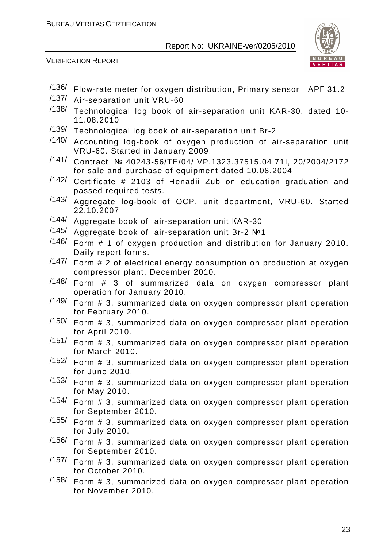

- /136/ Flow-rate meter for oxygen distribution, Primary sensor АРГ 31.2
- /137/ Air-separation unit VRU-60
- /138/ Technological log book of air-separation unit KAR-30, dated 10- 11.08.2010
- /139/ Technological log book of air-separation unit Br-2
- /140/ Accounting log-book of oxygen production of air-separation unit VRU-60. Started in January 2009.
- /141/ Contract № 40243-56/ТЕ/04/ VP.1323.37515.04.71I, 20/2004/2172 for sale and purchase of equipment dated 10.08.2004
- /142/ Certificate # 2103 of Henadii Zub on education graduation and passed required tests.
- /143/ Aggregate log-book of OCP, unit department, VRU-60. Started 22.10.2007
- /144/ Aggregate book of air-separation unit КАR-30
- /145/ Aggregate book of air-separation unit Br-2 №1
- /146/ Form # 1 of oxygen production and distribution for January 2010. Daily report forms.
- /147/ Form # 2 of electrical energy consumption on production at oxygen compressor plant, December 2010.
- /148/ Form # 3 of summarized data on oxygen compressor plant operation for January 2010.
- /149/ Form # 3, summarized data on oxygen compressor plant operation for February 2010.
- /150/ Form # 3, summarized data on oxygen compressor plant operation for April 2010.
- /151/ Form # 3, summarized data on oxygen compressor plant operation for March 2010.
- /152/ Form # 3, summarized data on oxygen compressor plant operation for June 2010.
- /153/ Form # 3, summarized data on oxygen compressor plant operation for May 2010.
- /154/ Form # 3, summarized data on oxygen compressor plant operation for September 2010.
- /155/ Form # 3, summarized data on oxygen compressor plant operation for July 2010.
- /156/ Form # 3, summarized data on oxygen compressor plant operation for September 2010.
- /157/ Form # 3, summarized data on oxygen compressor plant operation for October 2010.
- /158/ Form # 3, summarized data on oxygen compressor plant operation for November 2010.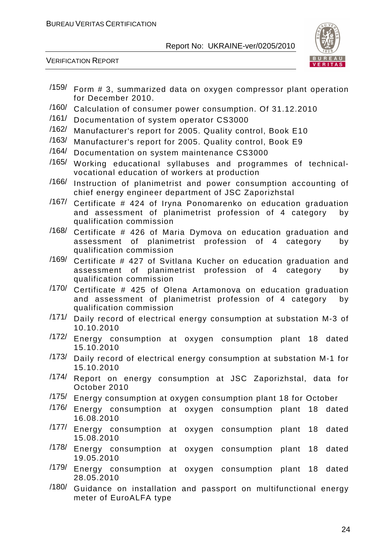

- /159/ Form # 3, summarized data on oxygen compressor plant operation for December 2010.
- /160/ Calculation of consumer power consumption. Of 31.12.2010
- /161/ Documentation of system operator CS3000
- /162/ Manufacturer's report for 2005. Quality control, Book E10
- /163/ Manufacturer's report for 2005. Quality control, Book E9
- /164/ Documentation on system maintenance CS3000
- /165/ Working educational syllabuses and programmes of technicalvocational education of workers at production
- /166/ Instruction of planimetrist and power consumption accounting of chief energy engineer department of JSC Zaporizhstal
- /167/ Certificate # 424 of Iryna Ponomarenko on education graduation and assessment of planimetrist profession of 4 category by qualification commission
- $/168/$  Certificate # 426 of Maria Dymova on education graduation and assessment of planimetrist profession of 4 category by qualification commission
- /169/ Certificate # 427 of Svitlana Kucher on education graduation and assessment of planimetrist profession of 4 category by qualification commission
- /170/ Certificate # 425 of Olena Artamonova on education graduation and assessment of planimetrist profession of 4 category by qualification commission
- /171/ Daily record of electrical energy consumption at substation M-3 of 10.10.2010
- /172/ Energy consumption at oxygen consumption plant 18 dated 15.10.2010
- /173/ Daily record of electrical energy consumption at substation M-1 for 15.10.2010
- /174/ Report on energy consumption at JSC Zaporizhstal, data for October 2010
- /175/ Energy consumption at oxygen consumption plant 18 for October
- /176/ Energy consumption at oxygen consumption plant 18 dated 16.08.2010
- /177/ Energy consumption at oxygen consumption plant 18 dated 15.08.2010
- /178/ Energy consumption at oxygen consumption plant 18 dated 19.05.2010
- /179/ Energy consumption at oxygen consumption plant 18 dated 28.05.2010
- /180/ Guidance on installation and passport on multifunctional energy meter of EuroALFA type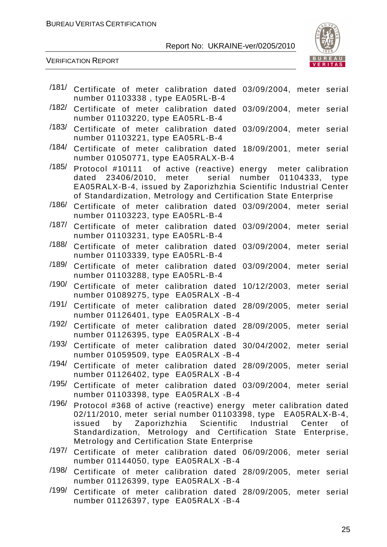

| /181/ | Certificate of meter calibration dated 03/09/2004, meter serial<br>number 01103338, type EA05RL-B-4                                                                                                                                                                 |
|-------|---------------------------------------------------------------------------------------------------------------------------------------------------------------------------------------------------------------------------------------------------------------------|
| /182/ | Certificate of meter calibration dated<br>03/09/2004, meter serial<br>number 01103220, type EA05RL-B-4                                                                                                                                                              |
| /183/ | Certificate of meter calibration dated<br>03/09/2004, meter serial<br>number 01103221, type EA05RL-B-4                                                                                                                                                              |
| /184/ | Certificate of meter calibration dated<br>18/09/2001, meter serial<br>number 01050771, type EA05RALX-B-4                                                                                                                                                            |
| /185/ | Protocol #10111 of active (reactive) energy meter calibration<br>dated 23406/2010, meter serial number 01104333, type<br>EA05RALX-B-4, issued by Zaporizhzhia Scientific Industrial Center<br>of Standardization, Metrology and Certification State Enterprise      |
| /186/ | Certificate of meter calibration dated 03/09/2004, meter serial<br>number 01103223, type EA05RL-B-4                                                                                                                                                                 |
| /187/ | Certificate of meter calibration dated 03/09/2004, meter serial<br>number 01103231, type EA05RL-B-4                                                                                                                                                                 |
| /188/ | Certificate of meter calibration dated 03/09/2004, meter serial<br>number 01103339, type EA05RL-B-4                                                                                                                                                                 |
| /189/ | Certificate of meter calibration dated 03/09/2004, meter serial<br>number 01103288, type EA05RL-B-4                                                                                                                                                                 |
| /190/ | Certificate of meter calibration dated 10/12/2003, meter serial<br>number 01089275, type EA05RALX -B-4                                                                                                                                                              |
| /191/ | Certificate of meter calibration dated 28/09/2005, meter serial<br>number 01126401, type EA05RALX -B-4                                                                                                                                                              |
| /192/ | Certificate of meter calibration dated 28/09/2005, meter serial<br>number 01126395, type EA05RALX -B-4                                                                                                                                                              |
| /193/ | Certificate of meter calibration dated 30/04/2002, meter serial<br>number 01059509, type EA05RALX -B-4                                                                                                                                                              |
| /194/ | Certificate of meter calibration dated 28/09/2005, meter serial<br>number 01126402, type EA05RALX -B-4                                                                                                                                                              |
| /195/ | Certificate of meter calibration dated 03/09/2004, meter serial<br>number 01103398, type EA05RALX -B-4                                                                                                                                                              |
| /196/ | Protocol #368 of active (reactive) energy meter calibration dated<br>02/11/2010, meter serial number 01103398, type EA05RALX-B-4,<br>by Zaporizhzhia Scientific Industrial Center<br>issued<br>of<br>Standardization, Metrology and Certification State Enterprise, |
| /197/ | Metrology and Certification State Enterprise<br>Certificate of meter calibration dated 06/09/2006, meter serial                                                                                                                                                     |
| /198/ | number 01144050, type EA05RALX -B-4<br>Certificate of meter calibration dated 28/09/2005, meter serial<br>number 01126399, type EA05RALX -B-4                                                                                                                       |
| /199/ | Certificate of meter calibration dated 28/09/2005, meter serial<br>number 01126397, type EA05RALX -B-4                                                                                                                                                              |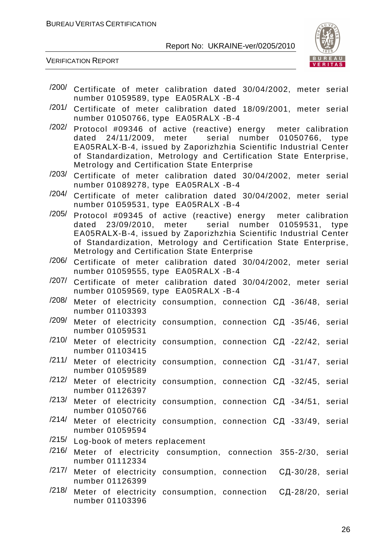

- /200/ Certificate of meter calibration dated 30/04/2002, meter serial number 01059589, type EA05RALX -B-4
- /201/ Certificate of meter calibration dated 18/09/2001, meter serial number 01050766, type EA05RALX -B-4
- /202/ Protocol #09346 of active (reactive) energy meter calibration dated 24/11/2009, meter serial number 01050766, type EA05RАLХ-B-4, issued by Zaporizhzhia Scientific Industrial Center of Standardization, Metrology and Certification State Enterprise, Metrology and Certification State Enterprise
- /203/ Certificate of meter calibration dated 30/04/2002, meter serial number 01089278, type EA05RALX -B-4
- /204/ Certificate of meter calibration dated 30/04/2002, meter serial number 01059531, type EA05RALX -B-4
- /205/ Protocol #09345 of active (reactive) energy meter calibration dated 23/09/2010, meter serial number 01059531, type EA05RАLХ-B-4, issued by Zaporizhzhia Scientific Industrial Center of Standardization, Metrology and Certification State Enterprise, Metrology and Certification State Enterprise
- /206/ Certificate of meter calibration dated 30/04/2002, meter serial number 01059555, type EA05RALX -B-4
- /207/ Certificate of meter calibration dated 30/04/2002, meter serial number 01059569, type EA05RALX -B-4
- $/208/$  Meter of electricity consumption, connection  $C\Box$  -36/48, serial number 01103393
- /209/ Meter of electricity consumption, connection СД -35/46, serial number 01059531
- /210/ Meter of electricity consumption, connection СД -22/42, serial number 01103415
- /211/ Meter of electricity consumption, connection СД -31/47, serial number 01059589
- $/212/$  Meter of electricity consumption, connection C $\Box$  -32/45, serial number 01126397
- $/213/$  Meter of electricity consumption, connection C $\Box$  -34/51, serial number 01050766
- /214/ Meter of electricity consumption, connection СД -33/49, serial number 01059594
- /215/ Log-book of meters replacement
- /216/ Meter of electricity consumption, connection 355-2/30, serial number 01112334
- $/217/$  Meter of electricity consumption, connection СД-30/28, serial number 01126399
- /218/ Meter of electricity consumption, connection СД-28/20, serial number 01103396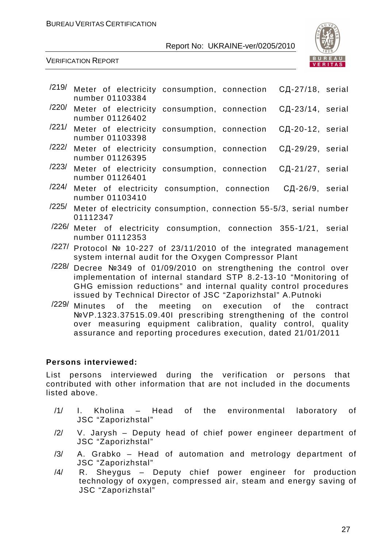

VERIFICATION REPORT

| /219/ | Meter of electricity consumption, connection СД-27/18, serial<br>number 01103384                                                                                                                                                                                     |
|-------|----------------------------------------------------------------------------------------------------------------------------------------------------------------------------------------------------------------------------------------------------------------------|
| /220/ | СД-23/14, serial<br>Meter of electricity<br>consumption, connection<br>number 01126402                                                                                                                                                                               |
| /221/ | Meter of electricity<br>consumption, connection<br>СД-20-12, serial<br>number 01103398                                                                                                                                                                               |
| /222/ | Meter of electricity consumption, connection<br>СД-29/29, serial<br>number 01126395                                                                                                                                                                                  |
| /223/ | Meter of electricity consumption, connection СД-21/27, serial<br>number 01126401                                                                                                                                                                                     |
| /224/ | Meter of electricity consumption, connection СД-26/9, serial<br>number 01103410                                                                                                                                                                                      |
| /225/ | Meter of electricity consumption, connection 55-5/3, serial number<br>01112347                                                                                                                                                                                       |
| /226/ | Meter of electricity consumption, connection 355-1/21, serial<br>number 01112353                                                                                                                                                                                     |
| /227/ | Protocol № 10-227 of 23/11/2010 of the integrated management<br>system internal audit for the Oxygen Compressor Plant                                                                                                                                                |
| /228/ | Decree Nº349 of 01/09/2010 on strengthening the control over<br>implementation of internal standard STP 8.2-13-10 "Monitoring of<br>GHG emission reductions" and internal quality control procedures<br>issued by Technical Director of JSC "Zaporizhstal" A.Putnoki |
| /229/ | Minutes of the meeting on execution of the contract<br>No. 1993 37515 00 101 proscribing strengthening of the control                                                                                                                                                |

№VP.1323.37515.09.40I prescribing strengthening of the control over measuring equipment calibration, quality control, quality assurance and reporting procedures execution, dated 21/01/2011

#### **Persons interviewed:**

List persons interviewed during the verification or persons that contributed with other information that are not included in the documents listed above.

- /1/ I. Kholina Head of the environmental laboratory of JSC "Zaporizhstal"
- /2/ V. Jarysh Deputy head of chief power engineer department of JSC "Zaporizhstal"
- /3/ A. Grabko Head of automation and metrology department of JSC "Zaporizhstal"
- /4/ R. Sheygus Deputy chief power engineer for production technology of oxygen, compressed air, steam and energy saving of JSC "Zaporizhstal"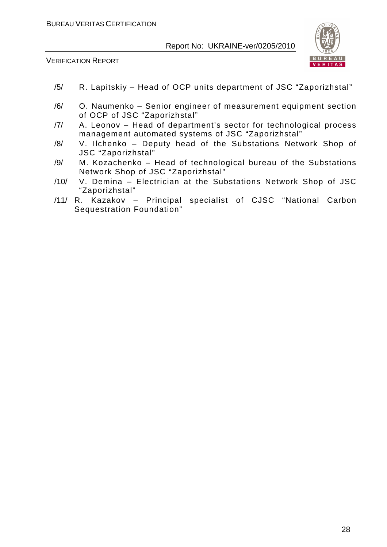

- /5/ R. Lapitskiy Head of OCP units department of JSC "Zaporizhstal"
- /6/ O. Naumenko Senior engineer of measurement equipment section of OCP of JSC "Zaporizhstal"
- /7/ A. Leonov Head of department's sector for technological process management automated systems of JSC "Zaporizhstal"
- /8/ V. Ilchenko Deputy head of the Substations Network Shop of JSC "Zaporizhstal"
- /9/ M. Kozachenko Head of technological bureau of the Substations Network Shop of JSC "Zaporizhstal"
- /10/ V. Demina Electrician at the Substations Network Shop of JSC "Zaporizhstal"
- /11/ R. Kazakov Principal specialist of CJSC "National Carbon Sequestration Foundation"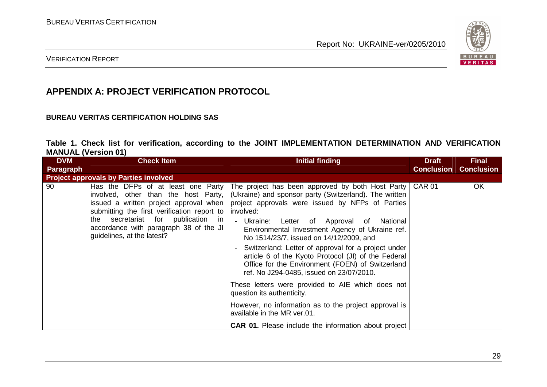

VERIFICATION REPORT

## **APPENDIX A: PROJECT VERIFICATION PROTOCOL**

#### **BUREAU VERITAS CERTIFICATION HOLDING SAS**

|                            |  |  | Table 1. Check list for verification, according to the JOINT IMPLEMENTATION DETERMINATION AND VERIFICATION |  |  |
|----------------------------|--|--|------------------------------------------------------------------------------------------------------------|--|--|
| <b>MANUAL (Version 01)</b> |  |  |                                                                                                            |  |  |

| <b>DVM</b>       | <b>Check Item</b>                                                                                                                                                                                                                                                                      | <b>Initial finding</b>                                                                                                                                                                                                                                                                                                                                                                                                                                                                                                                                                                                                                                                                                                                                                                                     | <b>Draft</b>      | <b>Final</b>      |
|------------------|----------------------------------------------------------------------------------------------------------------------------------------------------------------------------------------------------------------------------------------------------------------------------------------|------------------------------------------------------------------------------------------------------------------------------------------------------------------------------------------------------------------------------------------------------------------------------------------------------------------------------------------------------------------------------------------------------------------------------------------------------------------------------------------------------------------------------------------------------------------------------------------------------------------------------------------------------------------------------------------------------------------------------------------------------------------------------------------------------------|-------------------|-------------------|
| <b>Paragraph</b> |                                                                                                                                                                                                                                                                                        |                                                                                                                                                                                                                                                                                                                                                                                                                                                                                                                                                                                                                                                                                                                                                                                                            | <b>Conclusion</b> | <b>Conclusion</b> |
|                  | <b>Project approvals by Parties involved</b>                                                                                                                                                                                                                                           |                                                                                                                                                                                                                                                                                                                                                                                                                                                                                                                                                                                                                                                                                                                                                                                                            |                   |                   |
| 90               | Has the DFPs of at least one Party<br>involved, other than the host Party,<br>issued a written project approval when  <br>submitting the first verification report to<br>secretariat for publication in<br>the<br>accordance with paragraph 38 of the JI<br>guidelines, at the latest? | The project has been approved by both Host Party   CAR 01<br>(Ukraine) and sponsor party (Switzerland). The written<br>project approvals were issued by NFPs of Parties<br>involved:<br>Ukraine: Letter of Approval of<br>National<br>$\blacksquare$<br>Environmental Investment Agency of Ukraine ref.<br>No 1514/23/7, issued on 14/12/2009, and<br>Switzerland: Letter of approval for a project under<br>article 6 of the Kyoto Protocol (JI) of the Federal<br>Office for the Environment (FOEN) of Switzerland<br>ref. No J294-0485, issued on 23/07/2010.<br>These letters were provided to AIE which does not<br>question its authenticity.<br>However, no information as to the project approval is<br>available in the MR ver.01.<br><b>CAR 01.</b> Please include the information about project |                   | OK                |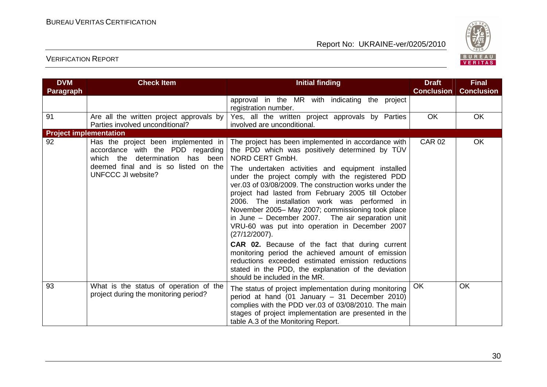

| <b>DVM</b>                    | <b>Check Item</b>                                                                                                                                                             | <b>Initial finding</b>                                                                                                                                                                                                                                                                                                                                                                                                                                                                                                                                                                                                                                                                                                                                                                                                                      | <b>Draft</b>      | <b>Final</b>      |
|-------------------------------|-------------------------------------------------------------------------------------------------------------------------------------------------------------------------------|---------------------------------------------------------------------------------------------------------------------------------------------------------------------------------------------------------------------------------------------------------------------------------------------------------------------------------------------------------------------------------------------------------------------------------------------------------------------------------------------------------------------------------------------------------------------------------------------------------------------------------------------------------------------------------------------------------------------------------------------------------------------------------------------------------------------------------------------|-------------------|-------------------|
| Paragraph                     |                                                                                                                                                                               |                                                                                                                                                                                                                                                                                                                                                                                                                                                                                                                                                                                                                                                                                                                                                                                                                                             | <b>Conclusion</b> | <b>Conclusion</b> |
|                               |                                                                                                                                                                               | approval in the MR with indicating the project<br>registration number.                                                                                                                                                                                                                                                                                                                                                                                                                                                                                                                                                                                                                                                                                                                                                                      |                   |                   |
| 91                            | Are all the written project approvals by<br>Parties involved unconditional?                                                                                                   | Yes, all the written project approvals by Parties<br>involved are unconditional.                                                                                                                                                                                                                                                                                                                                                                                                                                                                                                                                                                                                                                                                                                                                                            | <b>OK</b>         | <b>OK</b>         |
| <b>Project implementation</b> |                                                                                                                                                                               |                                                                                                                                                                                                                                                                                                                                                                                                                                                                                                                                                                                                                                                                                                                                                                                                                                             |                   |                   |
| 92                            | Has the project been implemented in<br>accordance with the PDD regarding<br>which the<br>determination has been<br>deemed final and is so listed on the<br>UNFCCC JI website? | The project has been implemented in accordance with<br>the PDD which was positively determined by TÜV<br>NORD CERT GmbH.<br>The undertaken activities and equipment installed<br>under the project comply with the registered PDD<br>ver.03 of 03/08/2009. The construction works under the<br>project had lasted from February 2005 till October<br>2006. The installation work was performed in<br>November 2005-May 2007; commissioning took place<br>in June - December 2007. The air separation unit<br>VRU-60 was put into operation in December 2007<br>$(27/12/2007)$ .<br><b>CAR 02.</b> Because of the fact that during current<br>monitoring period the achieved amount of emission<br>reductions exceeded estimated emission reductions<br>stated in the PDD, the explanation of the deviation<br>should be included in the MR. | <b>CAR 02</b>     | <b>OK</b>         |
| 93                            | What is the status of operation of the<br>project during the monitoring period?                                                                                               | The status of project implementation during monitoring<br>period at hand (01 January - 31 December 2010)<br>complies with the PDD ver.03 of 03/08/2010. The main<br>stages of project implementation are presented in the<br>table A.3 of the Monitoring Report.                                                                                                                                                                                                                                                                                                                                                                                                                                                                                                                                                                            | OK                | <b>OK</b>         |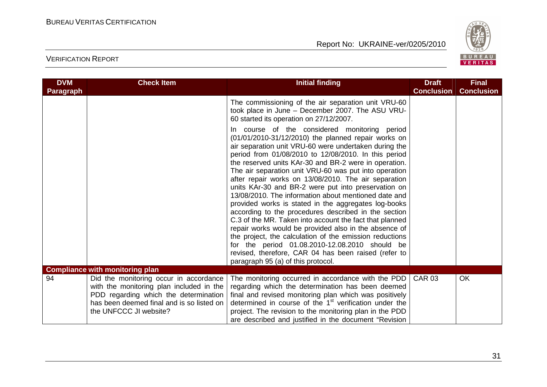

| <b>DVM</b>       | <b>Check Item</b>                                                                                                                                                                                  | <b>Initial finding</b>                                                                                                                                                                                                                                                                                                                                                                                                                                                                                                                                                                                                                                                                                                                                                                                                                                                                                                                                        | <b>Draft</b>      | <b>Final</b>      |
|------------------|----------------------------------------------------------------------------------------------------------------------------------------------------------------------------------------------------|---------------------------------------------------------------------------------------------------------------------------------------------------------------------------------------------------------------------------------------------------------------------------------------------------------------------------------------------------------------------------------------------------------------------------------------------------------------------------------------------------------------------------------------------------------------------------------------------------------------------------------------------------------------------------------------------------------------------------------------------------------------------------------------------------------------------------------------------------------------------------------------------------------------------------------------------------------------|-------------------|-------------------|
| <b>Paragraph</b> |                                                                                                                                                                                                    |                                                                                                                                                                                                                                                                                                                                                                                                                                                                                                                                                                                                                                                                                                                                                                                                                                                                                                                                                               | <b>Conclusion</b> | <b>Conclusion</b> |
|                  |                                                                                                                                                                                                    | The commissioning of the air separation unit VRU-60<br>took place in June - December 2007. The ASU VRU-<br>60 started its operation on 27/12/2007.                                                                                                                                                                                                                                                                                                                                                                                                                                                                                                                                                                                                                                                                                                                                                                                                            |                   |                   |
|                  |                                                                                                                                                                                                    | In course of the considered monitoring period<br>(01/01/2010-31/12/2010) the planned repair works on<br>air separation unit VRU-60 were undertaken during the<br>period from 01/08/2010 to 12/08/2010. In this period<br>the reserved units KAr-30 and BR-2 were in operation.<br>The air separation unit VRU-60 was put into operation<br>after repair works on 13/08/2010. The air separation<br>units KAr-30 and BR-2 were put into preservation on<br>13/08/2010. The information about mentioned date and<br>provided works is stated in the aggregates log-books<br>according to the procedures described in the section<br>C.3 of the MR. Taken into account the fact that planned<br>repair works would be provided also in the absence of<br>the project, the calculation of the emission reductions<br>for the period 01.08.2010-12.08.2010 should be<br>revised, therefore, CAR 04 has been raised (refer to<br>paragraph 95 (a) of this protocol. |                   |                   |
|                  | <b>Compliance with monitoring plan</b>                                                                                                                                                             |                                                                                                                                                                                                                                                                                                                                                                                                                                                                                                                                                                                                                                                                                                                                                                                                                                                                                                                                                               |                   |                   |
| 94               | Did the monitoring occur in accordance<br>with the monitoring plan included in the<br>PDD regarding which the determination<br>has been deemed final and is so listed on<br>the UNFCCC JI website? | The monitoring occurred in accordance with the PDD<br>regarding which the determination has been deemed<br>final and revised monitoring plan which was positively<br>determined in course of the 1 <sup>st</sup> verification under the<br>project. The revision to the monitoring plan in the PDD<br>are described and justified in the document "Revision                                                                                                                                                                                                                                                                                                                                                                                                                                                                                                                                                                                                   | <b>CAR 03</b>     | OK                |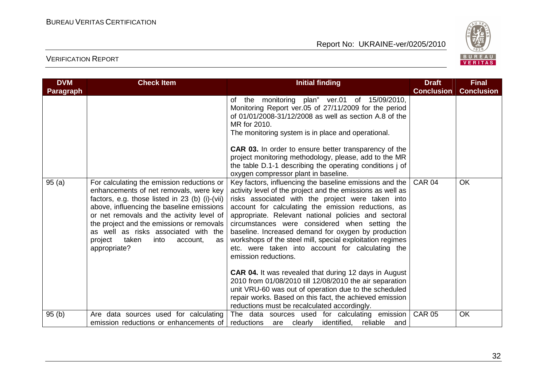

| <b>DVM</b>       | <b>Check Item</b>                                                                                                                                                                                                                                                                                                                                                                   | <b>Initial finding</b>                                                                                                                                                                                                                                                                                                                                                                                                                                                                                                                                                                                                                                                 | <b>Draft</b>      | <b>Final</b>      |
|------------------|-------------------------------------------------------------------------------------------------------------------------------------------------------------------------------------------------------------------------------------------------------------------------------------------------------------------------------------------------------------------------------------|------------------------------------------------------------------------------------------------------------------------------------------------------------------------------------------------------------------------------------------------------------------------------------------------------------------------------------------------------------------------------------------------------------------------------------------------------------------------------------------------------------------------------------------------------------------------------------------------------------------------------------------------------------------------|-------------------|-------------------|
| <b>Paragraph</b> |                                                                                                                                                                                                                                                                                                                                                                                     |                                                                                                                                                                                                                                                                                                                                                                                                                                                                                                                                                                                                                                                                        | <b>Conclusion</b> | <b>Conclusion</b> |
|                  |                                                                                                                                                                                                                                                                                                                                                                                     | of the monitoring plan" ver.01 of 15/09/2010,<br>Monitoring Report ver.05 of 27/11/2009 for the period<br>of 01/01/2008-31/12/2008 as well as section A.8 of the<br>MR for 2010.<br>The monitoring system is in place and operational.<br><b>CAR 03.</b> In order to ensure better transparency of the<br>project monitoring methodology, please, add to the MR<br>the table D.1-1 describing the operating conditions j of<br>oxygen compressor plant in baseline.                                                                                                                                                                                                    |                   |                   |
| 95(a)            | For calculating the emission reductions or<br>enhancements of net removals, were key<br>factors, e.g. those listed in 23 (b) (i)-(vii)<br>above, influencing the baseline emissions<br>or net removals and the activity level of<br>the project and the emissions or removals<br>as well as risks associated with the<br>project<br>taken<br>into<br>account,<br>as<br>appropriate? | Key factors, influencing the baseline emissions and the<br>activity level of the project and the emissions as well as<br>risks associated with the project were taken into<br>account for calculating the emission reductions, as<br>appropriate. Relevant national policies and sectoral<br>circumstances were considered when setting the<br>baseline. Increased demand for oxygen by production<br>workshops of the steel mill, special exploitation regimes<br>etc. were taken into account for calculating the<br>emission reductions.<br><b>CAR 04.</b> It was revealed that during 12 days in August<br>2010 from 01/08/2010 till 12/08/2010 the air separation | <b>CAR 04</b>     | OK                |
|                  |                                                                                                                                                                                                                                                                                                                                                                                     | unit VRU-60 was out of operation due to the scheduled<br>repair works. Based on this fact, the achieved emission<br>reductions must be recalculated accordingly.                                                                                                                                                                                                                                                                                                                                                                                                                                                                                                       |                   |                   |
| 95(b)            | Are data sources used for calculating<br>emission reductions or enhancements of                                                                                                                                                                                                                                                                                                     | The data sources used for calculating emission<br>identified,<br>reliable<br>reductions<br>are clearly<br>and                                                                                                                                                                                                                                                                                                                                                                                                                                                                                                                                                          | <b>CAR 05</b>     | OK                |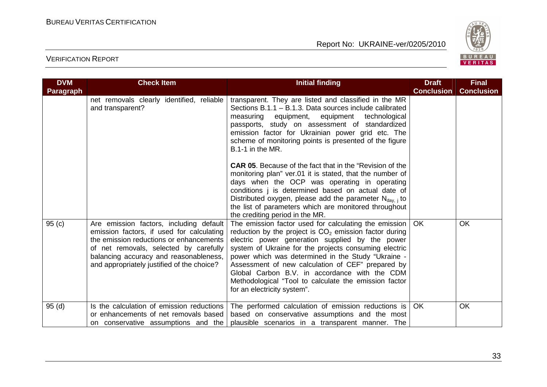

| <b>DVM</b>       | <b>Check Item</b>                                                                                                                                                                                                                                                 | <b>Initial finding</b>                                                                                                                                                                                                                                                                                                                                                                                                                                                              | <b>Draft</b>      | <b>Final</b>      |
|------------------|-------------------------------------------------------------------------------------------------------------------------------------------------------------------------------------------------------------------------------------------------------------------|-------------------------------------------------------------------------------------------------------------------------------------------------------------------------------------------------------------------------------------------------------------------------------------------------------------------------------------------------------------------------------------------------------------------------------------------------------------------------------------|-------------------|-------------------|
| <b>Paragraph</b> |                                                                                                                                                                                                                                                                   |                                                                                                                                                                                                                                                                                                                                                                                                                                                                                     | <b>Conclusion</b> | <b>Conclusion</b> |
|                  | net removals clearly identified, reliable<br>and transparent?                                                                                                                                                                                                     | transparent. They are listed and classified in the MR<br>Sections B.1.1 - B.1.3. Data sources include calibrated<br>measuring equipment, equipment technological<br>passports, study on assessment of standardized<br>emission factor for Ukrainian power grid etc. The<br>scheme of monitoring points is presented of the figure<br>B.1-1 in the MR.                                                                                                                               |                   |                   |
|                  |                                                                                                                                                                                                                                                                   | <b>CAR 05.</b> Because of the fact that in the "Revision of the<br>monitoring plan" ver.01 it is stated, that the number of<br>days when the OCP was operating in operating<br>conditions j is determined based on actual date of<br>Distributed oxygen, please add the parameter $N_{\text{day, i}}$ to<br>the list of parameters which are monitored throughout<br>the crediting period in the MR.                                                                                |                   |                   |
| 95(c)            | Are emission factors, including default<br>emission factors, if used for calculating<br>the emission reductions or enhancements<br>of net removals, selected by carefully<br>balancing accuracy and reasonableness,<br>and appropriately justified of the choice? | The emission factor used for calculating the emission  <br>reduction by the project is $CO2$ emission factor during<br>electric power generation supplied by the power<br>system of Ukraine for the projects consuming electric<br>power which was determined in the Study "Ukraine -<br>Assessment of new calculation of CEF" prepared by<br>Global Carbon B.V. in accordance with the CDM<br>Methodological "Tool to calculate the emission factor<br>for an electricity system". | OK                | <b>OK</b>         |
| 95(d)            | Is the calculation of emission reductions<br>or enhancements of net removals based<br>on conservative assumptions and the                                                                                                                                         | The performed calculation of emission reductions is<br>based on conservative assumptions and the most<br>plausible scenarios in a transparent manner. The                                                                                                                                                                                                                                                                                                                           | <b>OK</b>         | <b>OK</b>         |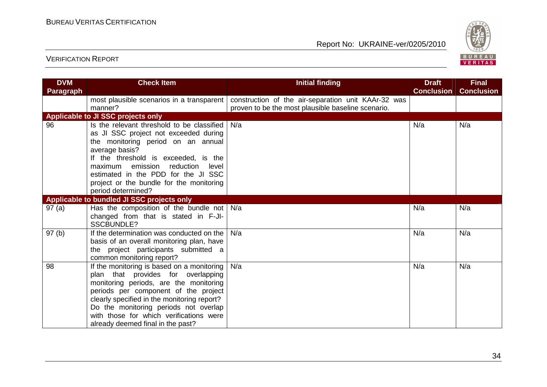

| <b>DVM</b> | <b>Check Item</b>                                                                                                                                                                                                                                                                                                                          | <b>Initial finding</b>                                                                                    | <b>Draft</b>      | <b>Final</b>      |
|------------|--------------------------------------------------------------------------------------------------------------------------------------------------------------------------------------------------------------------------------------------------------------------------------------------------------------------------------------------|-----------------------------------------------------------------------------------------------------------|-------------------|-------------------|
| Paragraph  |                                                                                                                                                                                                                                                                                                                                            |                                                                                                           | <b>Conclusion</b> | <b>Conclusion</b> |
|            | most plausible scenarios in a transparent<br>manner?                                                                                                                                                                                                                                                                                       | construction of the air-separation unit KAAr-32 was<br>proven to be the most plausible baseline scenario. |                   |                   |
|            | Applicable to JI SSC projects only                                                                                                                                                                                                                                                                                                         |                                                                                                           |                   |                   |
| 96         | Is the relevant threshold to be classified<br>as JI SSC project not exceeded during<br>the monitoring period on an annual<br>average basis?<br>If the threshold is exceeded, is the<br>emission<br>reduction<br>maximum<br>level<br>estimated in the PDD for the JI SSC<br>project or the bundle for the monitoring<br>period determined?  | N/a                                                                                                       | N/a               | N/a               |
|            | Applicable to bundled JI SSC projects only                                                                                                                                                                                                                                                                                                 |                                                                                                           |                   |                   |
| 97(a)      | Has the composition of the bundle not<br>changed from that is stated in F-JI-<br><b>SSCBUNDLE?</b>                                                                                                                                                                                                                                         | N/a                                                                                                       | N/a               | N/a               |
| 97(b)      | If the determination was conducted on the<br>basis of an overall monitoring plan, have<br>the project participants submitted a<br>common monitoring report?                                                                                                                                                                                | N/a                                                                                                       | N/a               | N/a               |
| 98         | If the monitoring is based on a monitoring<br>plan that provides for overlapping<br>monitoring periods, are the monitoring<br>periods per component of the project<br>clearly specified in the monitoring report?<br>Do the monitoring periods not overlap<br>with those for which verifications were<br>already deemed final in the past? | N/a                                                                                                       | N/a               | N/a               |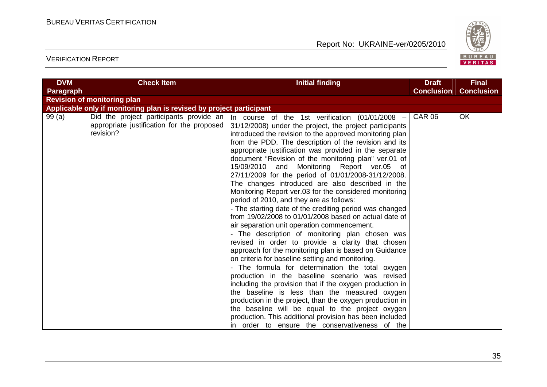

| <b>DVM</b> | <b>Check Item</b>                                                                                  | <b>Initial finding</b>                                                                                                                                                                                                                                                                                                                                                                                                                                                                                                                                                                                                                                                                                                                                                                                                                                                                                                                                                                                                                                                                                                                                                                                                                                                                                                                                                                                                                                     | <b>Draft</b>      | <b>Final</b>      |
|------------|----------------------------------------------------------------------------------------------------|------------------------------------------------------------------------------------------------------------------------------------------------------------------------------------------------------------------------------------------------------------------------------------------------------------------------------------------------------------------------------------------------------------------------------------------------------------------------------------------------------------------------------------------------------------------------------------------------------------------------------------------------------------------------------------------------------------------------------------------------------------------------------------------------------------------------------------------------------------------------------------------------------------------------------------------------------------------------------------------------------------------------------------------------------------------------------------------------------------------------------------------------------------------------------------------------------------------------------------------------------------------------------------------------------------------------------------------------------------------------------------------------------------------------------------------------------------|-------------------|-------------------|
| Paragraph  |                                                                                                    |                                                                                                                                                                                                                                                                                                                                                                                                                                                                                                                                                                                                                                                                                                                                                                                                                                                                                                                                                                                                                                                                                                                                                                                                                                                                                                                                                                                                                                                            | <b>Conclusion</b> | <b>Conclusion</b> |
|            | <b>Revision of monitoring plan</b>                                                                 |                                                                                                                                                                                                                                                                                                                                                                                                                                                                                                                                                                                                                                                                                                                                                                                                                                                                                                                                                                                                                                                                                                                                                                                                                                                                                                                                                                                                                                                            |                   |                   |
|            | Applicable only if monitoring plan is revised by project participant                               |                                                                                                                                                                                                                                                                                                                                                                                                                                                                                                                                                                                                                                                                                                                                                                                                                                                                                                                                                                                                                                                                                                                                                                                                                                                                                                                                                                                                                                                            |                   |                   |
| 99 (a)     | Did the project participants provide an<br>appropriate justification for the proposed<br>revision? | In course of the 1st verification $(01/01/2008 -$<br>31/12/2008) under the project, the project participants<br>introduced the revision to the approved monitoring plan<br>from the PDD. The description of the revision and its<br>appropriate justification was provided in the separate<br>document "Revision of the monitoring plan" ver.01 of<br>15/09/2010 and Monitoring Report ver.05 of<br>27/11/2009 for the period of 01/01/2008-31/12/2008.<br>The changes introduced are also described in the<br>Monitoring Report ver.03 for the considered monitoring<br>period of 2010, and they are as follows:<br>- The starting date of the crediting period was changed<br>from 19/02/2008 to 01/01/2008 based on actual date of<br>air separation unit operation commencement.<br>- The description of monitoring plan chosen was<br>revised in order to provide a clarity that chosen<br>approach for the monitoring plan is based on Guidance<br>on criteria for baseline setting and monitoring.<br>- The formula for determination the total oxygen<br>production in the baseline scenario was revised<br>including the provision that if the oxygen production in<br>the baseline is less than the measured oxygen<br>production in the project, than the oxygen production in<br>the baseline will be equal to the project oxygen<br>production. This additional provision has been included<br>in order to ensure the conservativeness of the | <b>CAR 06</b>     | OK                |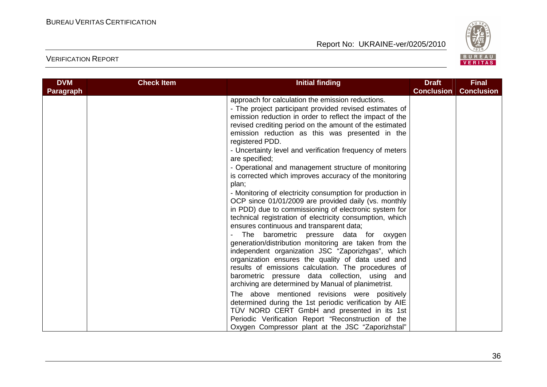

| approach for calculation the emission reductions.<br>- The project participant provided revised estimates of<br>emission reduction in order to reflect the impact of the<br>revised crediting period on the amount of the estimated<br>emission reduction as this was presented in the<br>registered PDD.<br>- Uncertainty level and verification frequency of meters<br>are specified;<br>- Operational and management structure of monitoring<br>is corrected which improves accuracy of the monitoring                                                                                                                                                                                                                                                                                                                                                                                                                              | <b>DVM</b><br><b>Paragraph</b> | <b>Check Item</b> | <b>Initial finding</b> | <b>Draft</b><br><b>Conclusion</b> | <b>Final</b><br><b>Conclusion</b> |
|----------------------------------------------------------------------------------------------------------------------------------------------------------------------------------------------------------------------------------------------------------------------------------------------------------------------------------------------------------------------------------------------------------------------------------------------------------------------------------------------------------------------------------------------------------------------------------------------------------------------------------------------------------------------------------------------------------------------------------------------------------------------------------------------------------------------------------------------------------------------------------------------------------------------------------------|--------------------------------|-------------------|------------------------|-----------------------------------|-----------------------------------|
| - Monitoring of electricity consumption for production in<br>OCP since 01/01/2009 are provided daily (vs. monthly<br>in PDD) due to commissioning of electronic system for<br>technical registration of electricity consumption, which<br>ensures continuous and transparent data;<br>The barometric pressure data for oxygen<br>generation/distribution monitoring are taken from the<br>independent organization JSC "Zaporizhgas", which<br>organization ensures the quality of data used and<br>results of emissions calculation. The procedures of<br>barometric pressure data collection, using and<br>archiving are determined by Manual of planimetrist.<br>The above mentioned revisions were positively<br>determined during the 1st periodic verification by AIE<br>TÜV NORD CERT GmbH and presented in its 1st<br>Periodic Verification Report "Reconstruction of the<br>Oxygen Compressor plant at the JSC "Zaporizhstal" |                                |                   | plan;                  |                                   |                                   |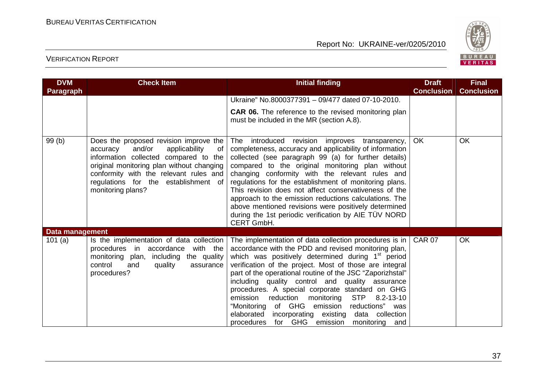

| <b>DVM</b><br><b>Paragraph</b> | <b>Check Item</b>                                                                                                                                                                                                                                                                | <b>Initial finding</b>                                                                                                                                                                                                                                                                                                                                                                                                                                                                                                                                                                                                                                | <b>Draft</b><br><b>Conclusion</b> | <b>Final</b><br><b>Conclusion</b> |
|--------------------------------|----------------------------------------------------------------------------------------------------------------------------------------------------------------------------------------------------------------------------------------------------------------------------------|-------------------------------------------------------------------------------------------------------------------------------------------------------------------------------------------------------------------------------------------------------------------------------------------------------------------------------------------------------------------------------------------------------------------------------------------------------------------------------------------------------------------------------------------------------------------------------------------------------------------------------------------------------|-----------------------------------|-----------------------------------|
|                                |                                                                                                                                                                                                                                                                                  | Ukraine" No.8000377391 - 09/477 dated 07-10-2010.                                                                                                                                                                                                                                                                                                                                                                                                                                                                                                                                                                                                     |                                   |                                   |
|                                |                                                                                                                                                                                                                                                                                  | CAR 06. The reference to the revised monitoring plan<br>must be included in the MR (section A.8).                                                                                                                                                                                                                                                                                                                                                                                                                                                                                                                                                     |                                   |                                   |
| 99 (b)                         | Does the proposed revision improve the<br>and/or<br>applicability<br>accuracy<br>of<br>information collected compared to the<br>original monitoring plan without changing<br>conformity with the relevant rules and<br>regulations for the establishment of<br>monitoring plans? | The introduced revision improves transparency,<br>completeness, accuracy and applicability of information<br>collected (see paragraph 99 (a) for further details)<br>compared to the original monitoring plan without<br>changing conformity with the relevant rules and<br>regulations for the establishment of monitoring plans.<br>This revision does not affect conservativeness of the<br>approach to the emission reductions calculations. The<br>above mentioned revisions were positively determined<br>during the 1st periodic verification by AIE TÜV NORD<br>CERT GmbH.                                                                    | <b>OK</b>                         | OK                                |
| <b>Data management</b>         |                                                                                                                                                                                                                                                                                  |                                                                                                                                                                                                                                                                                                                                                                                                                                                                                                                                                                                                                                                       |                                   |                                   |
| 101(a)                         | Is the implementation of data collection<br>procedures in accordance<br>with the<br>monitoring plan,<br>including the quality<br>control<br>and<br>quality<br>assurance<br>procedures?                                                                                           | The implementation of data collection procedures is in  <br>accordance with the PDD and revised monitoring plan,<br>which was positively determined during 1 <sup>st</sup> period<br>verification of the project. Most of those are integral<br>part of the operational routine of the JSC "Zaporizhstal"<br>including quality control and quality assurance<br>procedures. A special corporate standard on GHG<br><b>STP</b><br>monitoring<br>emission<br>reduction<br>$8.2 - 13 - 10$<br>of GHG emission<br>"Monitoring<br>reductions" was<br>elaborated<br>incorporating existing<br>data collection<br>procedures for GHG emission monitoring and | <b>CAR 07</b>                     | OK                                |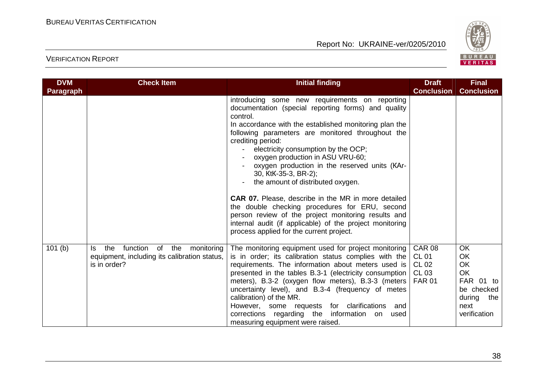

| <b>DVM</b>       | <b>Check Item</b>                                                                                              | <b>Initial finding</b>                                                                                                                                                                                                                                                                                                                                                                                                                                                                                                                                                                                                                                                                                                        | <b>Draft</b>                                  | <b>Final</b>                                                                                                  |
|------------------|----------------------------------------------------------------------------------------------------------------|-------------------------------------------------------------------------------------------------------------------------------------------------------------------------------------------------------------------------------------------------------------------------------------------------------------------------------------------------------------------------------------------------------------------------------------------------------------------------------------------------------------------------------------------------------------------------------------------------------------------------------------------------------------------------------------------------------------------------------|-----------------------------------------------|---------------------------------------------------------------------------------------------------------------|
| <b>Paragraph</b> |                                                                                                                |                                                                                                                                                                                                                                                                                                                                                                                                                                                                                                                                                                                                                                                                                                                               | <b>Conclusion</b>                             | <b>Conclusion</b>                                                                                             |
|                  |                                                                                                                | introducing some new requirements on reporting<br>documentation (special reporting forms) and quality<br>control.<br>In accordance with the established monitoring plan the<br>following parameters are monitored throughout the<br>crediting period:<br>electricity consumption by the OCP;<br>oxygen production in ASU VRU-60;<br>oxygen production in the reserved units (KAr-<br>30, KtK-35-3, BR-2);<br>the amount of distributed oxygen.<br><b>CAR 07.</b> Please, describe in the MR in more detailed<br>the double checking procedures for ERU, second<br>person review of the project monitoring results and<br>internal audit (if applicable) of the project monitoring<br>process applied for the current project. |                                               |                                                                                                               |
| 101(b)           | function<br>the<br>of the<br>monitoring<br>ls.<br>equipment, including its calibration status,<br>is in order? | The monitoring equipment used for project monitoring<br>is in order; its calibration status complies with the<br>requirements. The information about meters used is<br>presented in the tables B.3-1 (electricity consumption $ CLO3$<br>meters), B.3-2 (oxygen flow meters), B.3-3 (meters   FAR 01<br>uncertainty level), and B.3-4 (frequency of metes<br>calibration) of the MR.<br>However, some requests for clarifications<br>and<br>corrections regarding the information on<br>used<br>measuring equipment were raised.                                                                                                                                                                                              | <b>CAR 08</b><br><b>CL 01</b><br><b>CL 02</b> | <b>OK</b><br><b>OK</b><br><b>OK</b><br>OK<br>FAR 01 to<br>be checked<br>during<br>the<br>next<br>verification |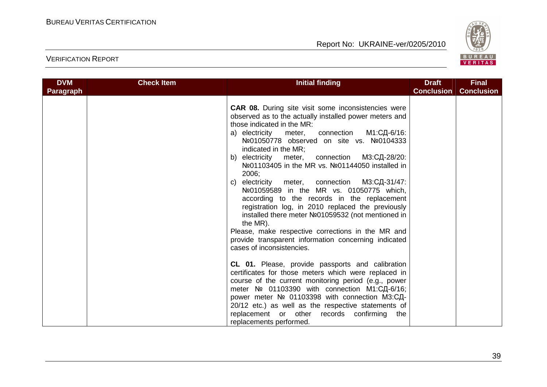

| <b>DVM</b> | <b>Check Item</b> | <b>Initial finding</b>                                                                                                                                                                                                                                                                                                                                                                                                                                                                                                                                                                                                                                                                                                                                                                                                                                                                                                                                                                                                                                                                                                                                                                                                     | <b>Draft</b>      | <b>Final</b>      |
|------------|-------------------|----------------------------------------------------------------------------------------------------------------------------------------------------------------------------------------------------------------------------------------------------------------------------------------------------------------------------------------------------------------------------------------------------------------------------------------------------------------------------------------------------------------------------------------------------------------------------------------------------------------------------------------------------------------------------------------------------------------------------------------------------------------------------------------------------------------------------------------------------------------------------------------------------------------------------------------------------------------------------------------------------------------------------------------------------------------------------------------------------------------------------------------------------------------------------------------------------------------------------|-------------------|-------------------|
| Paragraph  |                   |                                                                                                                                                                                                                                                                                                                                                                                                                                                                                                                                                                                                                                                                                                                                                                                                                                                                                                                                                                                                                                                                                                                                                                                                                            | <b>Conclusion</b> | <b>Conclusion</b> |
|            |                   | <b>CAR 08.</b> During site visit some inconsistencies were<br>observed as to the actually installed power meters and<br>those indicated in the MR:<br>connection M1:СД-6/16:<br>a) electricity meter,<br>Nº01050778 observed on site vs. Nº0104333<br>indicated in the MR;<br>connection M3:СД-28/20:<br>electricity<br>meter,<br>b)<br>Nº01103405 in the MR vs. Nº01144050 installed in<br>2006:<br>electricity meter, connection<br>МЗ:СД-31/47:<br>C)<br>Nº01059589 in the MR vs. 01050775 which,<br>according to the records in the replacement<br>registration log, in 2010 replaced the previously<br>installed there meter Nº01059532 (not mentioned in<br>the MR).<br>Please, make respective corrections in the MR and<br>provide transparent information concerning indicated<br>cases of inconsistencies.<br>CL 01. Please, provide passports and calibration<br>certificates for those meters which were replaced in<br>course of the current monitoring period (e.g., power<br>meter № 01103390 with connection М1:СД-6/16;<br>power meter № 01103398 with connection М3:СД-<br>20/12 etc.) as well as the respective statements of<br>replacement or other records confirming the<br>replacements performed. |                   |                   |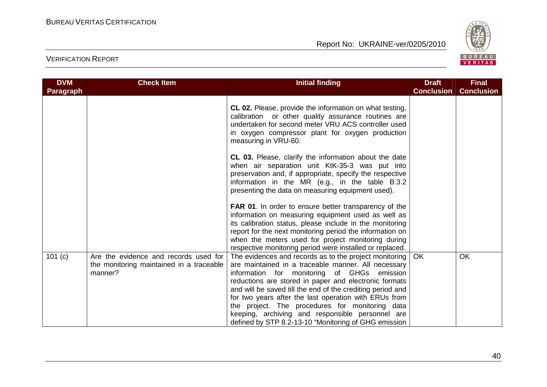

| <b>DVM</b><br><b>Paragraph</b> | <b>Check Item</b>                                                                            | <b>Initial finding</b>                                                                                                                                                                                                                                                                                                                                                                                                                                                                                        | <b>Draft</b><br><b>Conclusion</b> | <b>Final</b><br><b>Conclusion</b> |
|--------------------------------|----------------------------------------------------------------------------------------------|---------------------------------------------------------------------------------------------------------------------------------------------------------------------------------------------------------------------------------------------------------------------------------------------------------------------------------------------------------------------------------------------------------------------------------------------------------------------------------------------------------------|-----------------------------------|-----------------------------------|
|                                |                                                                                              | CL 02. Please, provide the information on what testing,<br>calibration or other quality assurance routines are<br>undertaken for second meter VRU ACS controller used<br>in oxygen compressor plant for oxygen production<br>measuring in VRU-60.                                                                                                                                                                                                                                                             |                                   |                                   |
|                                |                                                                                              | CL 03. Please, clarify the information about the date<br>when air separation unit KtK-35-3 was put into<br>preservation and, if appropriate, specify the respective<br>information in the MR (e.g., in the table B.3.2<br>presenting the data on measuring equipment used).                                                                                                                                                                                                                                   |                                   |                                   |
|                                |                                                                                              | <b>FAR 01.</b> In order to ensure better transparency of the<br>information on measuring equipment used as well as<br>its calibration status, please include in the monitoring<br>report for the next monitoring period the information on<br>when the meters used for project monitoring during<br>respective monitoring period were installed or replaced.                                                                                                                                                  |                                   |                                   |
| 101 (c)                        | Are the evidence and records used for<br>the monitoring maintained in a traceable<br>manner? | The evidences and records as to the project monitoring  <br>are maintained in a traceable manner. All necessary<br>information for monitoring of GHGs emission<br>reductions are stored in paper and electronic formats<br>and will be saved till the end of the crediting period and<br>for two years after the last operation with ERUs from<br>the project. The procedures for monitoring data<br>keeping, archiving and responsible personnel are<br>defined by STP 8.2-13-10 "Monitoring of GHG emission | <b>OK</b>                         | <b>OK</b>                         |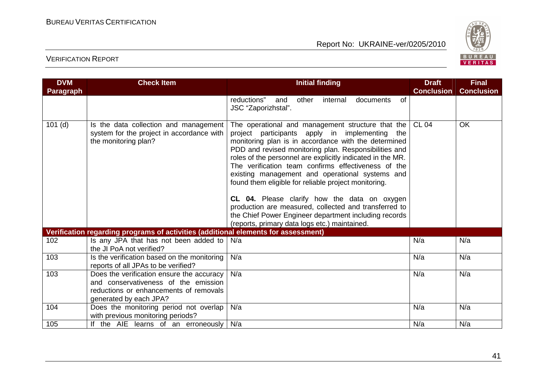

| <b>DVM</b>       | <b>Check Item</b>                                                                                                                                     | <b>Initial finding</b>                                                                                                                                                                                                                                                                                                                                                                                                                                                                                                                                                                                                                                                  | <b>Draft</b>      | <b>Final</b>      |
|------------------|-------------------------------------------------------------------------------------------------------------------------------------------------------|-------------------------------------------------------------------------------------------------------------------------------------------------------------------------------------------------------------------------------------------------------------------------------------------------------------------------------------------------------------------------------------------------------------------------------------------------------------------------------------------------------------------------------------------------------------------------------------------------------------------------------------------------------------------------|-------------------|-------------------|
| <b>Paragraph</b> |                                                                                                                                                       |                                                                                                                                                                                                                                                                                                                                                                                                                                                                                                                                                                                                                                                                         | <b>Conclusion</b> | <b>Conclusion</b> |
|                  |                                                                                                                                                       | reductions" and<br>other<br>of<br>internal<br>documents<br>JSC "Zaporizhstal".                                                                                                                                                                                                                                                                                                                                                                                                                                                                                                                                                                                          |                   |                   |
| $101$ (d)        | Is the data collection and management<br>system for the project in accordance with<br>the monitoring plan?                                            | The operational and management structure that the<br>project participants apply in implementing the<br>monitoring plan is in accordance with the determined<br>PDD and revised monitoring plan. Responsibilities and<br>roles of the personnel are explicitly indicated in the MR.<br>The verification team confirms effectiveness of the<br>existing management and operational systems and<br>found them eligible for reliable project monitoring.<br>CL 04. Please clarify how the data on oxygen<br>production are measured, collected and transferred to<br>the Chief Power Engineer department including records<br>(reports, primary data logs etc.) maintained. | <b>CL 04</b>      | OK                |
|                  | Verification regarding programs of activities (additional elements for assessment)                                                                    |                                                                                                                                                                                                                                                                                                                                                                                                                                                                                                                                                                                                                                                                         |                   |                   |
| 102              | Is any JPA that has not been added to<br>the JI PoA not verified?                                                                                     | N/a                                                                                                                                                                                                                                                                                                                                                                                                                                                                                                                                                                                                                                                                     | N/a               | N/a               |
| 103              | Is the verification based on the monitoring<br>reports of all JPAs to be verified?                                                                    | N/a                                                                                                                                                                                                                                                                                                                                                                                                                                                                                                                                                                                                                                                                     | N/a               | N/a               |
| 103              | Does the verification ensure the accuracy<br>and conservativeness of the emission<br>reductions or enhancements of removals<br>generated by each JPA? | N/a                                                                                                                                                                                                                                                                                                                                                                                                                                                                                                                                                                                                                                                                     | N/a               | N/a               |
| 104              | Does the monitoring period not overlap<br>with previous monitoring periods?                                                                           | N/a                                                                                                                                                                                                                                                                                                                                                                                                                                                                                                                                                                                                                                                                     | N/a               | N/a               |
| 105              | If the AIE learns of an erroneously                                                                                                                   | N/a                                                                                                                                                                                                                                                                                                                                                                                                                                                                                                                                                                                                                                                                     | N/a               | N/a               |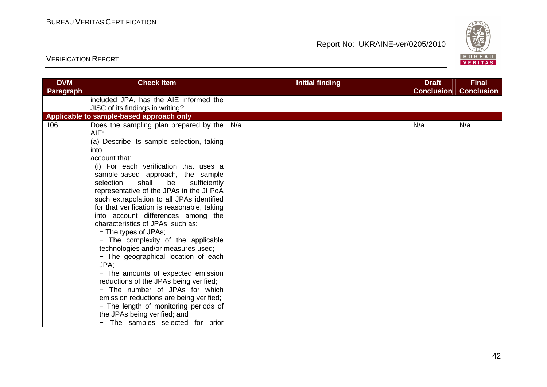

| <b>DVM</b> | <b>Check Item</b>                           | <b>Initial finding</b> | <b>Draft</b>      | <b>Final</b>      |
|------------|---------------------------------------------|------------------------|-------------------|-------------------|
| Paragraph  |                                             |                        | <b>Conclusion</b> | <b>Conclusion</b> |
|            | included JPA, has the AIE informed the      |                        |                   |                   |
|            | JISC of its findings in writing?            |                        |                   |                   |
|            | Applicable to sample-based approach only    |                        |                   |                   |
| 106        | Does the sampling plan prepared by the      | N/a                    | N/a               | N/a               |
|            | AIE:                                        |                        |                   |                   |
|            | (a) Describe its sample selection, taking   |                        |                   |                   |
|            | into                                        |                        |                   |                   |
|            | account that:                               |                        |                   |                   |
|            | (i) For each verification that uses a       |                        |                   |                   |
|            | sample-based approach, the sample           |                        |                   |                   |
|            | shall<br>selection<br>be<br>sufficiently    |                        |                   |                   |
|            | representative of the JPAs in the JI PoA    |                        |                   |                   |
|            | such extrapolation to all JPAs identified   |                        |                   |                   |
|            | for that verification is reasonable, taking |                        |                   |                   |
|            | into account differences among the          |                        |                   |                   |
|            | characteristics of JPAs, such as:           |                        |                   |                   |
|            | - The types of JPAs;                        |                        |                   |                   |
|            | - The complexity of the applicable          |                        |                   |                   |
|            | technologies and/or measures used;          |                        |                   |                   |
|            | - The geographical location of each         |                        |                   |                   |
|            | JPA:                                        |                        |                   |                   |
|            | - The amounts of expected emission          |                        |                   |                   |
|            | reductions of the JPAs being verified;      |                        |                   |                   |
|            | - The number of JPAs for which              |                        |                   |                   |
|            | emission reductions are being verified;     |                        |                   |                   |
|            | - The length of monitoring periods of       |                        |                   |                   |
|            | the JPAs being verified; and                |                        |                   |                   |
|            | - The samples selected for prior            |                        |                   |                   |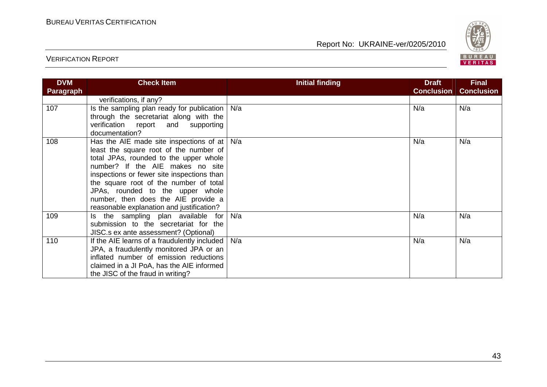

| <b>DVM</b>       | <b>Check Item</b>                                   | <b>Initial finding</b> | <b>Draft</b>      | <b>Final</b>      |
|------------------|-----------------------------------------------------|------------------------|-------------------|-------------------|
| <b>Paragraph</b> |                                                     |                        | <b>Conclusion</b> | <b>Conclusion</b> |
|                  | verifications, if any?                              |                        |                   |                   |
| 107              | Is the sampling plan ready for publication          | N/a                    | N/a               | N/a               |
|                  | through the secretariat along with the              |                        |                   |                   |
|                  | verification report and supporting                  |                        |                   |                   |
|                  | documentation?                                      |                        |                   |                   |
| 108              | Has the AIE made site inspections of at $\vert$ N/a |                        | N/a               | N/a               |
|                  | least the square root of the number of              |                        |                   |                   |
|                  | total JPAs, rounded to the upper whole              |                        |                   |                   |
|                  | number? If the AIE makes no site                    |                        |                   |                   |
|                  | inspections or fewer site inspections than          |                        |                   |                   |
|                  | the square root of the number of total              |                        |                   |                   |
|                  | JPAs, rounded to the upper whole                    |                        |                   |                   |
|                  | number, then does the AIE provide a                 |                        |                   |                   |
|                  | reasonable explanation and justification?           |                        |                   |                   |
| 109              | Is the sampling plan available for                  | N/a                    | N/a               | N/a               |
|                  | submission to the secretariat for the               |                        |                   |                   |
|                  | JISC.s ex ante assessment? (Optional)               |                        |                   |                   |
| 110              | If the AIE learns of a fraudulently included        | N/a                    | N/a               | N/a               |
|                  | JPA, a fraudulently monitored JPA or an             |                        |                   |                   |
|                  | inflated number of emission reductions              |                        |                   |                   |
|                  | claimed in a JI PoA, has the AIE informed           |                        |                   |                   |
|                  | the JISC of the fraud in writing?                   |                        |                   |                   |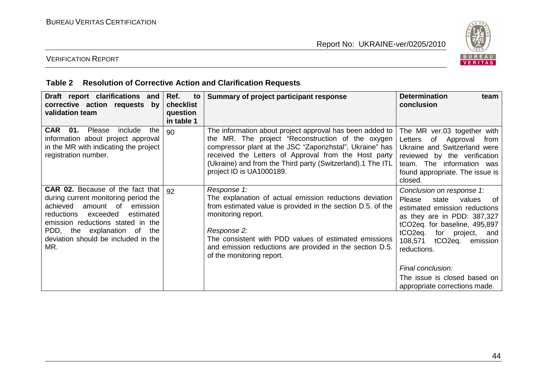

### VERIFICATION REPORT

### **Table 2 Resolution of Corrective Action and Clarification Requests**

| Draft report clarifications and<br>corrective action requests by<br>validation team                                                                                                                                                                                           | Ref.<br>to<br>checklist<br>question<br>in table 1 | Summary of project participant response                                                                                                                                                                                                                                                                                      | <b>Determination</b><br>team<br>conclusion                                                                                                                                                                                                                                                         |
|-------------------------------------------------------------------------------------------------------------------------------------------------------------------------------------------------------------------------------------------------------------------------------|---------------------------------------------------|------------------------------------------------------------------------------------------------------------------------------------------------------------------------------------------------------------------------------------------------------------------------------------------------------------------------------|----------------------------------------------------------------------------------------------------------------------------------------------------------------------------------------------------------------------------------------------------------------------------------------------------|
| CAR 01.<br>Please<br>include<br>the<br>information about project approval<br>in the MR with indicating the project<br>registration number.                                                                                                                                    | 90                                                | The information about project approval has been added to<br>the MR. The project "Reconstruction of the oxygen<br>compressor plant at the JSC "Zaporizhstal", Ukraine" has<br>received the Letters of Approval from the Host party<br>(Ukraine) and from the Third party (Switzerland).1 The ITL<br>project ID is UA1000189.  | The MR ver.03 together with<br>of Approval<br>Letters<br>from<br>Ukraine and Switzerland were<br>reviewed by the verification<br>team. The information was<br>found appropriate. The issue is<br>closed.                                                                                           |
| <b>CAR 02.</b> Because of the fact that<br>during current monitoring period the<br>achieved<br>amount of<br>emission<br>estimated<br>reductions<br>exceeded<br>emission reductions stated in the<br>PDD, the explanation of the<br>deviation should be included in the<br>MR. | 92                                                | Response 1:<br>The explanation of actual emission reductions deviation<br>from estimated value is provided in the section D.5. of the<br>monitoring report.<br>Response 2:<br>The consistent with PDD values of estimated emissions<br>and emission reductions are provided in the section D.5.<br>of the monitoring report. | Conclusion on response 1:<br>Please<br>state<br>values<br>റf<br>estimated emission reductions<br>as they are in PDD: 387,327<br>tCO2eq. for baseline, 495,897<br>tCO <sub>2</sub> eq.<br>for<br>project,<br>and<br>tCO <sub>2</sub> eq.<br>108,571<br>emission<br>reductions.<br>Final conclusion: |
|                                                                                                                                                                                                                                                                               |                                                   |                                                                                                                                                                                                                                                                                                                              | The issue is closed based on<br>appropriate corrections made.                                                                                                                                                                                                                                      |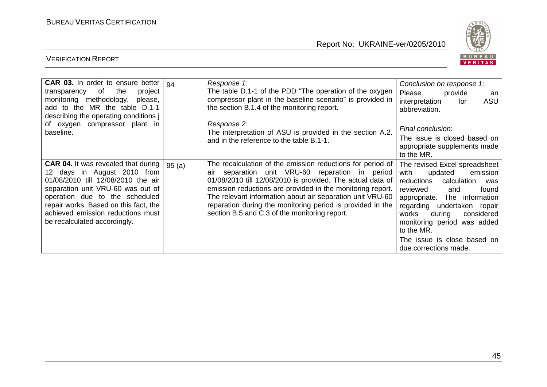

| <b>CAR 03.</b> In order to ensure better                                                                                                                                                                                                                                                             | 94    | Response 1:                                                                                                                                                                                                                                                                                                                                                                                                              | Conclusion on response 1:                                                                                                                                                                                                                                                                                                            |
|------------------------------------------------------------------------------------------------------------------------------------------------------------------------------------------------------------------------------------------------------------------------------------------------------|-------|--------------------------------------------------------------------------------------------------------------------------------------------------------------------------------------------------------------------------------------------------------------------------------------------------------------------------------------------------------------------------------------------------------------------------|--------------------------------------------------------------------------------------------------------------------------------------------------------------------------------------------------------------------------------------------------------------------------------------------------------------------------------------|
| of<br>project<br>the<br>transparency<br>monitoring methodology,<br>please,<br>add to the MR the table D.1-1<br>describing the operating conditions j                                                                                                                                                 |       | The table D.1-1 of the PDD "The operation of the oxygen<br>compressor plant in the baseline scenario" is provided in<br>the section B.1.4 of the monitoring report.                                                                                                                                                                                                                                                      | Please<br>provide<br>an<br>ASU<br>interpretation<br>for<br>abbreviation.                                                                                                                                                                                                                                                             |
| of oxygen compressor plant in<br>baseline.                                                                                                                                                                                                                                                           |       | Response 2:<br>The interpretation of ASU is provided in the section A.2.                                                                                                                                                                                                                                                                                                                                                 | Final conclusion:<br>The issue is closed based on                                                                                                                                                                                                                                                                                    |
|                                                                                                                                                                                                                                                                                                      |       | and in the reference to the table B.1-1.                                                                                                                                                                                                                                                                                                                                                                                 | appropriate supplements made<br>to the MR.                                                                                                                                                                                                                                                                                           |
| <b>CAR 04.</b> It was revealed that during<br>12 days in August 2010 from<br>01/08/2010 till 12/08/2010 the air<br>separation unit VRU-60 was out of<br>operation due to the scheduled<br>repair works. Based on this fact, the<br>achieved emission reductions must<br>be recalculated accordingly. | 95(a) | The recalculation of the emission reductions for period of<br>separation unit VRU-60 reparation in period<br>air<br>01/08/2010 till 12/08/2010 is provided. The actual data of<br>emission reductions are provided in the monitoring report.<br>The relevant information about air separation unit VRU-60<br>reparation during the monitoring period is provided in the<br>section B.5 and C.3 of the monitoring report. | The revised Excel spreadsheet<br>with<br>updated<br>emission<br>reductions<br>calculation<br>was<br>found<br>reviewed<br>and<br>appropriate. The<br>information<br>regarding undertaken repair<br>works<br>during<br>considered<br>monitoring period was added<br>to the MR.<br>The issue is close based on<br>due corrections made. |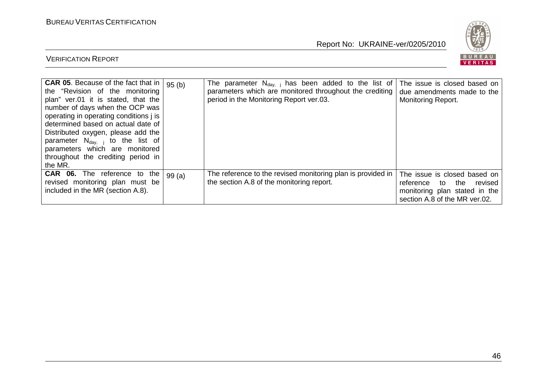

| <b>CAR 05.</b> Because of the fact that in $ 95 (b) $<br>the "Revision of the monitoring<br>plan" ver.01 it is stated, that the<br>number of days when the OCP was<br>operating in operating conditions j is<br>determined based on actual date of<br>Distributed oxygen, please add the<br>parameter $N_{\text{day}}$ to the list of<br>parameters which are monitored<br>throughout the crediting period in<br>the MR. |       | The parameter $N_{\text{dav}}$ , has been added to the list of<br>parameters which are monitored throughout the crediting<br>period in the Monitoring Report ver.03. | The issue is closed based on<br>due amendments made to the<br><b>Monitoring Report.</b>                                          |
|--------------------------------------------------------------------------------------------------------------------------------------------------------------------------------------------------------------------------------------------------------------------------------------------------------------------------------------------------------------------------------------------------------------------------|-------|----------------------------------------------------------------------------------------------------------------------------------------------------------------------|----------------------------------------------------------------------------------------------------------------------------------|
| <b>CAR 06.</b> The reference to<br>the<br>revised monitoring plan must be<br>included in the MR (section A.8).                                                                                                                                                                                                                                                                                                           | 99(a) | The reference to the revised monitoring plan is provided in<br>the section A.8 of the monitoring report.                                                             | The issue is closed based on<br>the<br>revised<br>reference to<br>monitoring plan stated in the<br>section A.8 of the MR ver.02. |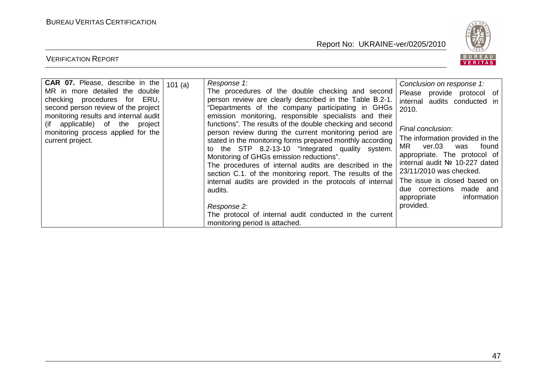

| <b>CAR 07.</b> Please, describe in the<br>MR in more detailed the double<br>checking procedures for ERU,<br>second person review of the project<br>monitoring results and internal audit<br>(if applicable) of the project<br>monitoring process applied for the<br>current project. | 101(a) | Response 1:<br>The procedures of the double checking and second<br>person review are clearly described in the Table B.2-1.<br>"Departments of the company participating in GHGs<br>emission monitoring, responsible specialists and their<br>functions". The results of the double checking and second<br>person review during the current monitoring period are<br>stated in the monitoring forms prepared monthly according<br>to the STP 8.2-13-10 "Integrated quality system.<br>Monitoring of GHGs emission reductions".<br>The procedures of internal audits are described in the<br>section C.1. of the monitoring report. The results of the<br>internal audits are provided in the protocols of internal<br>audits.<br>Response 2:<br>The protocol of internal audit conducted in the current<br>monitoring period is attached. | Conclusion on response 1:<br>Please<br>provide protocol of<br>internal audits conducted in<br>2010.<br>Final conclusion:<br>The information provided in the<br>ver.03<br>MR.<br>found<br>was<br>appropriate. The protocol of<br>internal audit Nº 10-227 dated<br>23/11/2010 was checked.<br>The issue is closed based on<br>made and<br>due corrections<br>information<br>appropriate<br>provided. |
|--------------------------------------------------------------------------------------------------------------------------------------------------------------------------------------------------------------------------------------------------------------------------------------|--------|------------------------------------------------------------------------------------------------------------------------------------------------------------------------------------------------------------------------------------------------------------------------------------------------------------------------------------------------------------------------------------------------------------------------------------------------------------------------------------------------------------------------------------------------------------------------------------------------------------------------------------------------------------------------------------------------------------------------------------------------------------------------------------------------------------------------------------------|-----------------------------------------------------------------------------------------------------------------------------------------------------------------------------------------------------------------------------------------------------------------------------------------------------------------------------------------------------------------------------------------------------|
|--------------------------------------------------------------------------------------------------------------------------------------------------------------------------------------------------------------------------------------------------------------------------------------|--------|------------------------------------------------------------------------------------------------------------------------------------------------------------------------------------------------------------------------------------------------------------------------------------------------------------------------------------------------------------------------------------------------------------------------------------------------------------------------------------------------------------------------------------------------------------------------------------------------------------------------------------------------------------------------------------------------------------------------------------------------------------------------------------------------------------------------------------------|-----------------------------------------------------------------------------------------------------------------------------------------------------------------------------------------------------------------------------------------------------------------------------------------------------------------------------------------------------------------------------------------------------|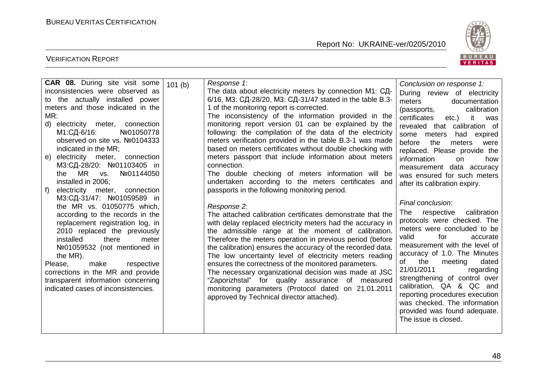VERIFICATION REPORT

Report No: UKRAINE-ver/0205/2010



| <b>CAR 08.</b> During site visit some  | 101(b) | Response 1:                                                 | Conclusion on response 1:          |
|----------------------------------------|--------|-------------------------------------------------------------|------------------------------------|
| inconsistencies were observed as       |        | The data about electricity meters by connection М1: СД-     | During review of electricity       |
| to the actually installed power        |        | 6/16, МЗ: СД-28/20, МЗ: СД-31/47 stated in the table В.3-   | documentation<br>meters            |
| meters and those indicated in the      |        | 1 of the monitoring report is corrected.                    | calibration<br>(passports,         |
| MR:                                    |        | The inconsistency of the information provided in the        | certificates<br>it<br>etc.)<br>was |
| d) electricity meter, connection       |        | monitoring report version 01 can be explained by the        | revealed that calibration of       |
| М1:СД-6/16:<br>Nº01050778              |        | following: the compilation of the data of the electricity   | had<br>some meters<br>expired      |
| observed on site vs. Nº0104333         |        | meters verification provided in the table B.3-1 was made    | before<br>the<br>meters<br>were    |
| indicated in the MR;                   |        | based on meters certificates without double checking with   | replaced. Please provide the       |
| electricity meter,<br>connection<br>e) |        | meters passport that include information about meters       | information<br>on<br>how           |
| M3:СД-28/20: №01103405 in              |        | connection.                                                 | measurement data accuracy          |
| the MR<br>Nº01144050<br>VS.            |        | The double checking of meters information will be           | was ensured for such meters        |
| installed in 2006;                     |        | undertaken according to the meters certificates and         | after its calibration expiry.      |
| electricity meter, connection<br>f     |        | passports in the following monitoring period.               |                                    |
| M3:СД-31/47: №01059589 in              |        |                                                             | Final conclusion:                  |
| the MR vs. 01050775 which,             |        | Response 2:                                                 |                                    |
| according to the records in the        |        | The attached calibration certificates demonstrate that the  | respective<br>calibration<br>The   |
| replacement registration log, in       |        | with delay replaced electricity meters had the accuracy in  | protocols were checked. The        |
| 2010 replaced the previously           |        | the admissible range at the moment of calibration.          | meters were concluded to be        |
| there<br>installed<br>meter            |        | Therefore the meters operation in previous period (before   | for<br>valid<br>accurate           |
| Nº01059532 (not mentioned in           |        | the calibration) ensures the accuracy of the recorded data. | measurement with the level of      |
| the MR).                               |        | The low uncertainty level of electricity meters reading     | accuracy of 1.0. The Minutes       |
| respective<br>Please,<br>make          |        | ensures the correctness of the monitored parameters.        | dated<br>the<br>meeting<br>of      |
| corrections in the MR and provide      |        | The necessary organizational decision was made at JSC       | 21/01/2011<br>regarding            |
| transparent information concerning     |        | "Zaporizhstal" for quality assurance of measured            | strengthening of control over      |
| indicated cases of inconsistencies.    |        | monitoring parameters (Protocol dated on 21.01.2011         | calibration, QA & QC and           |
|                                        |        | approved by Technical director attached).                   | reporting procedures execution     |
|                                        |        |                                                             | was checked. The information       |
|                                        |        |                                                             | provided was found adequate.       |
|                                        |        |                                                             | The issue is closed.               |
|                                        |        |                                                             |                                    |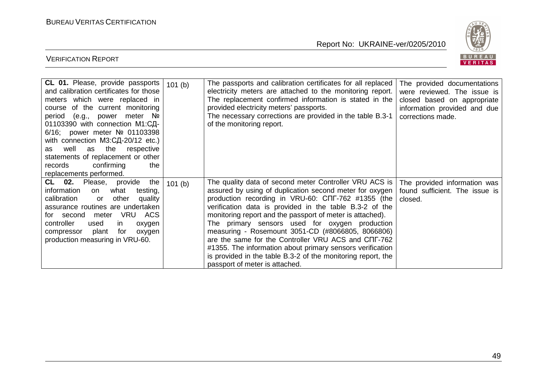

| CL 01. Please, provide passports<br>and calibration certificates for those<br>meters which were replaced in<br>course of the current monitoring<br>meter Nº<br>period (e.g., power<br>01103390 with connection M1:СД-<br>6/16; power meter Nº 01103398<br>with connection M3:СД-20/12 etc.)<br>well<br>as<br>the<br>respective<br>as<br>statements of replacement or other<br>records<br>confirming<br>the<br>replacements performed. | 101(b) | The passports and calibration certificates for all replaced<br>electricity meters are attached to the monitoring report.<br>The replacement confirmed information is stated in the<br>provided electricity meters' passports.<br>The necessary corrections are provided in the table B.3-1<br>of the monitoring report.                                                                                                                                                                                                                                                                                                      | The provided documentations<br>were reviewed. The issue is<br>closed based on appropriate<br>information provided and due<br>corrections made. |
|---------------------------------------------------------------------------------------------------------------------------------------------------------------------------------------------------------------------------------------------------------------------------------------------------------------------------------------------------------------------------------------------------------------------------------------|--------|------------------------------------------------------------------------------------------------------------------------------------------------------------------------------------------------------------------------------------------------------------------------------------------------------------------------------------------------------------------------------------------------------------------------------------------------------------------------------------------------------------------------------------------------------------------------------------------------------------------------------|------------------------------------------------------------------------------------------------------------------------------------------------|
| <b>CL 02.</b> Please,<br>provide<br>the<br>information<br>what<br>testing,<br>on<br>calibration<br>other<br>quality<br>or<br>assurance routines are undertaken<br>VRU ACS<br>for second meter<br>controller<br>used<br>in.<br>oxygen<br>compressor<br>plant<br>for<br>oxygen<br>production measuring in VRU-60.                                                                                                                       | 101(b) | The quality data of second meter Controller VRU ACS is<br>assured by using of duplication second meter for oxygen<br>production recording in VRU-60: CNF-762 #1355 (the<br>verification data is provided in the table B.3-2 of the<br>monitoring report and the passport of meter is attached).<br>The primary sensors used for oxygen production<br>measuring - Rosemount 3051-CD (#8066805, 8066806)<br>are the same for the Controller VRU ACS and CIT-762<br>#1355. The information about primary sensors verification<br>is provided in the table B.3-2 of the monitoring report, the<br>passport of meter is attached. | The provided information was<br>found sufficient. The issue is<br>closed.                                                                      |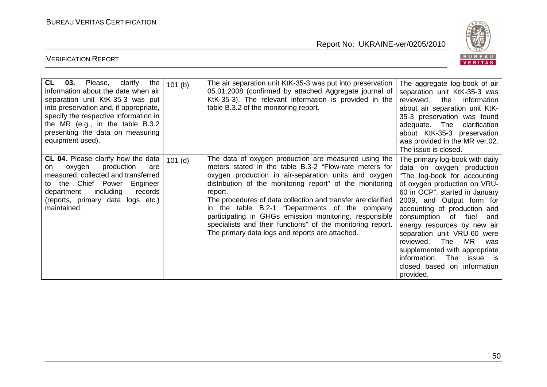

| CL<br>03.<br>the<br>Please,<br>clarify<br>information about the date when air<br>separation unit KtK-35-3 was put<br>into preservation and, if appropriate,<br>specify the respective information in<br>the MR (e.g., in the table B.3.2<br>presenting the data on measuring<br>equipment used). | 101(b)    | The air separation unit KtK-35-3 was put into preservation<br>05.01.2008 (confirmed by attached Aggregate journal of<br>KtK-35-3). The relevant information is provided in the<br>table B.3.2 of the monitoring report.                                                                                                                                                                                                                                                                                                                    | The aggregate log-book of air<br>separation unit KtK-35-3 was<br>reviewed,<br>the<br>information<br>about air separation unit KtK-<br>35-3 preservation was found<br>adequate. The<br>clarification<br>about KtK-35-3 preservation<br>was provided in the MR ver.02.<br>The issue is closed.                                                                                                                                                                                 |
|--------------------------------------------------------------------------------------------------------------------------------------------------------------------------------------------------------------------------------------------------------------------------------------------------|-----------|--------------------------------------------------------------------------------------------------------------------------------------------------------------------------------------------------------------------------------------------------------------------------------------------------------------------------------------------------------------------------------------------------------------------------------------------------------------------------------------------------------------------------------------------|------------------------------------------------------------------------------------------------------------------------------------------------------------------------------------------------------------------------------------------------------------------------------------------------------------------------------------------------------------------------------------------------------------------------------------------------------------------------------|
| <b>CL 04.</b> Please clarify how the data<br>production<br>oxygen<br>are<br>on.<br>measured, collected and transferred<br>to the Chief Power<br>Engineer<br>including<br>department<br>records<br>(reports, primary data logs etc.)<br>maintained.                                               | $101$ (d) | The data of oxygen production are measured using the<br>meters stated in the table B.3-2 "Flow-rate meters for<br>oxygen production in air-separation units and oxygen<br>distribution of the monitoring report" of the monitoring<br>report.<br>The procedures of data collection and transfer are clarified<br>in the table B.2-1 "Departments of the company<br>participating in GHGs emission monitoring, responsible<br>specialists and their functions" of the monitoring report.<br>The primary data logs and reports are attached. | The primary log-book with daily<br>data on oxygen production<br>"The log-book for accounting<br>of oxygen production on VRU-<br>60 in OCP", started in January<br>2009, and Output form for<br>accounting of production and<br>consumption of fuel<br>and<br>energy resources by new air<br>separation unit VRU-60 were<br><b>MR</b><br>The<br>reviewed.<br>was<br>supplemented with appropriate<br>information.<br>The issue is<br>closed based on information<br>provided. |